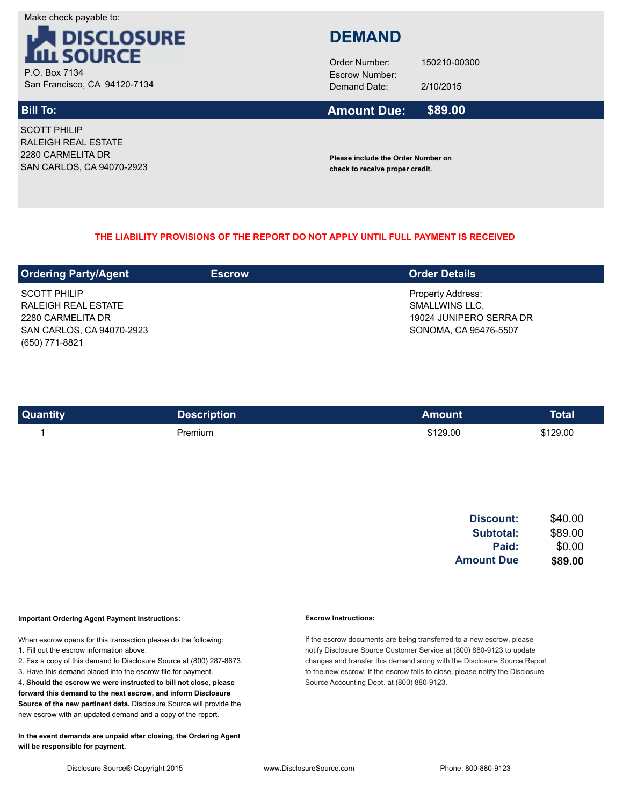Make check payable to:



San Francisco, CA 94120-7134

SCOTT PHILIP RALEIGH REAL ESTATE 2280 CARMELITA DR SAN CARLOS, CA 94070-2923

# **DEMAND**

Demand Date: 2/10/2015 Order Number: 150210-00300

#### **Bill To: Amount Due: \$89.00**

**Please include the Order Number on check to receive proper credit.**

## **THE LIABILITY PROVISIONS OF THE REPORT DO NOT APPLY UNTIL FULL PAYMENT IS RECEIVED**

| <b>Ordering Party/Agent</b> | <b>Escrow</b> | <b>Order Details</b>     |
|-----------------------------|---------------|--------------------------|
| <b>SCOTT PHILIP</b>         |               | <b>Property Address:</b> |
| RALEIGH REAL ESTATE         |               | SMALLWINS LLC,           |
| 2280 CARMELITA DR           |               | 19024 JUNIPERO SERRA DR  |
| SAN CARLOS, CA 94070-2923   |               | SONOMA, CA 95476-5507    |
| (650) 771-8821              |               |                          |

| <b>Quantity</b> | <b>Description</b> | Amount   | <b>Total</b> |
|-----------------|--------------------|----------|--------------|
|                 | Premium            | \$129.00 | \$129.00     |

| <b>Amount Due</b> | \$89.00 |
|-------------------|---------|
| Paid:             | \$0.00  |
| Subtotal:         | \$89.00 |
| Discount:         | \$40.00 |

### **Important Ordering Agent Payment Instructions:**

When escrow opens for this transaction please do the following:

- 1. Fill out the escrow information above.
- 2. Fax a copy of this demand to Disclosure Source at (800) 287-8673.
- 3. Have this demand placed into the escrow file for payment.

4. **Should the escrow we were instructed to bill not close, please forward this demand to the next escrow, and inform Disclosure Source of the new pertinent data.** Disclosure Source will provide the new escrow with an updated demand and a copy of the report.

**In the event demands are unpaid after closing, the Ordering Agent will be responsible for payment.**

### **Escrow Instructions:**

If the escrow documents are being transferred to a new escrow, please notify Disclosure Source Customer Service at (800) 880-9123 to update changes and transfer this demand along with the Disclosure Source Report to the new escrow. If the escrow fails to close, please notify the Disclosure Source Accounting Dept. at (800) 880-9123.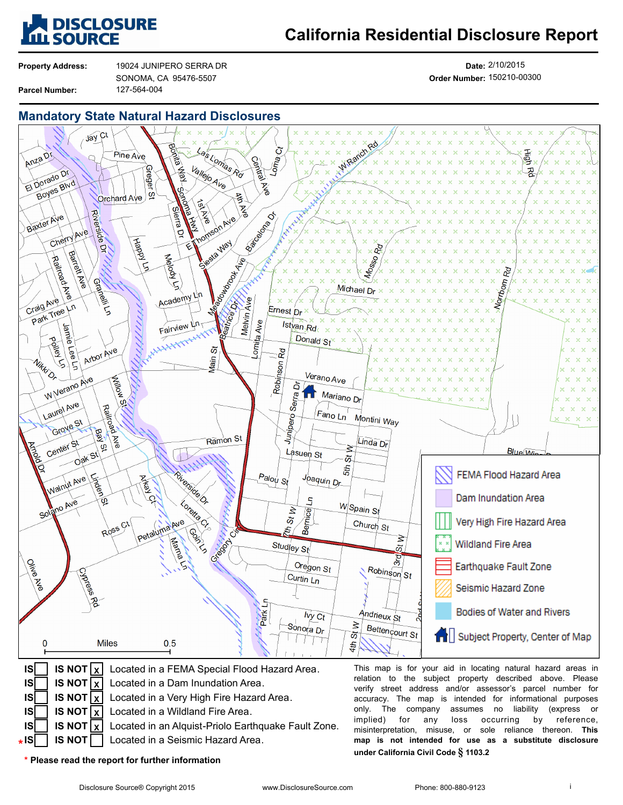

# **California Residential Disclosure Report**

**Property Address: Parcel Number:**

127-564-004 19024 JUNIPERO SERRA DR SONOMA, CA 95476-5507

**Date:** 2/10/2015 **Order Number:** 150210-00300

## **Mandatory State Natural Hazard Disclosures**



**IS NOT X** Located in a Dam Inundation Area.

- **IS NOT X** Located in a Very High Fire Hazard Area.
	- **IS NOT X** Located in a Wildland Fire Area.
	- **IS NOT** Located in an Alquist-Priolo Earthquake Fault Zone.  $\mathsf{X}$
- **IS NOT** Located in a Seismic Hazard Area.

**\* Please read the report for further information**

**IS IS IS IS IS \***

**under California Civil Code § 1103.2**

verify street address and/or assessor's parcel number for accuracy. The map is intended for informational purposes only. The company assumes no liability (express or implied) for any loss occurring by reference, implied) for any loss occurring by reference, misinterpretation, misuse, or sole reliance thereon. **This map is not intended for use as a substitute disclosure**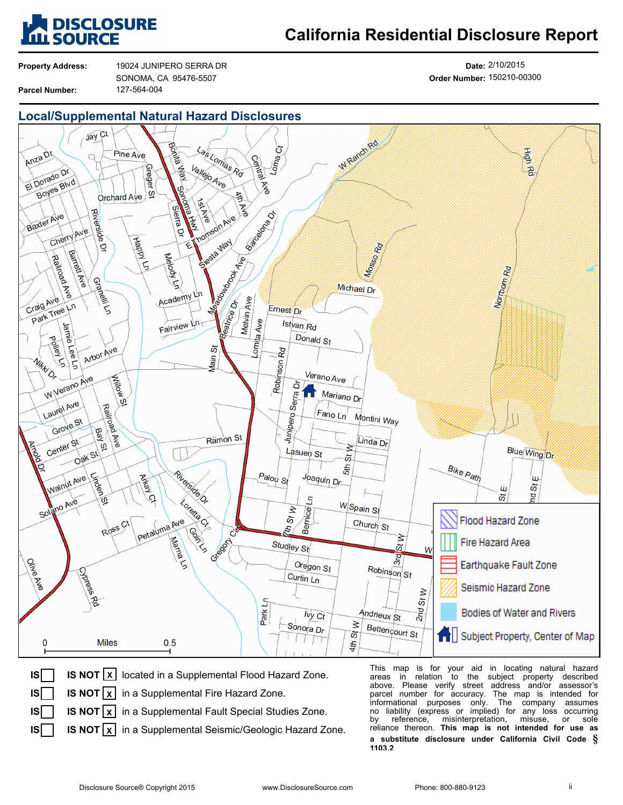

# **California Residential Disclosure Report**

**Property Address: Parcel Number:**

127-564-004 19024 JUNIPERO SERRA DR SONOMA, CA 95476-5507

**Date:** 2/10/2015 **Order Number:** 150210-00300







This map is for your aid in locating natural hazard areas in relation to the subject property described above. Please verify street address and/or assessor's parcel number for accuracy. The map is intended for informational purposes only. The company assumes The company assumes no liability (express or implied) for any loss occurring misinterpretation, misuse, or sole reliance thereon. **This map is not intended for use as a substitute disclosure under California Civil Code § 1103.2**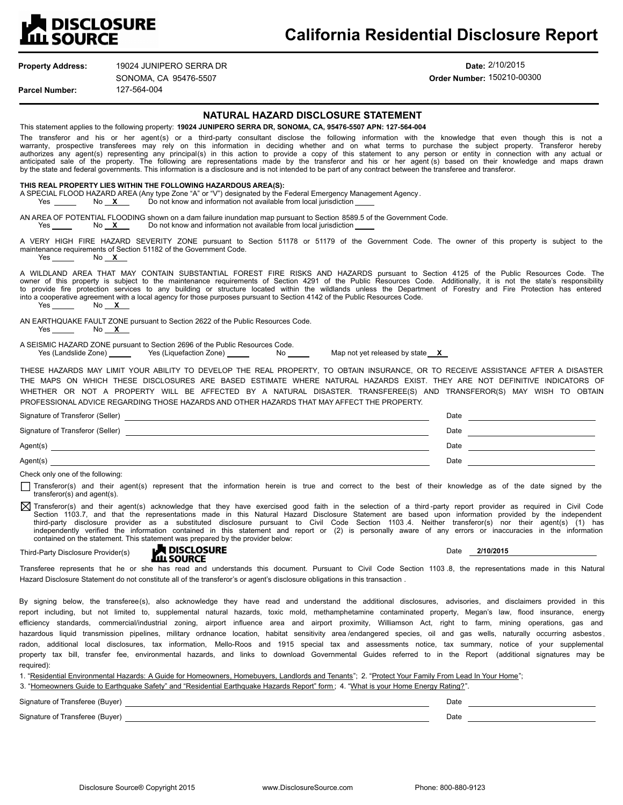

| <b>LILL SOURCE</b>                                |                                                                                                                                                                                                                                                       | California Residential Disclosure Report                                                                                                                                                                                                                                                                                                                                                                                                                                                                                                                                                                                                                                                                                                                                                                                                                                                                                                                                               |  |
|---------------------------------------------------|-------------------------------------------------------------------------------------------------------------------------------------------------------------------------------------------------------------------------------------------------------|----------------------------------------------------------------------------------------------------------------------------------------------------------------------------------------------------------------------------------------------------------------------------------------------------------------------------------------------------------------------------------------------------------------------------------------------------------------------------------------------------------------------------------------------------------------------------------------------------------------------------------------------------------------------------------------------------------------------------------------------------------------------------------------------------------------------------------------------------------------------------------------------------------------------------------------------------------------------------------------|--|
| <b>Property Address:</b><br><b>Parcel Number:</b> | 19024 JUNIPERO SERRA DR<br>SONOMA, CA 95476-5507<br>127-564-004                                                                                                                                                                                       | Date: 2/10/2015<br>Order Number: 150210-00300                                                                                                                                                                                                                                                                                                                                                                                                                                                                                                                                                                                                                                                                                                                                                                                                                                                                                                                                          |  |
|                                                   |                                                                                                                                                                                                                                                       | NATURAL HAZARD DISCLOSURE STATEMENT                                                                                                                                                                                                                                                                                                                                                                                                                                                                                                                                                                                                                                                                                                                                                                                                                                                                                                                                                    |  |
|                                                   |                                                                                                                                                                                                                                                       | This statement applies to the following property: 19024 JUNIPERO SERRA DR, SONOMA, CA, 95476-5507 APN: 127-564-004                                                                                                                                                                                                                                                                                                                                                                                                                                                                                                                                                                                                                                                                                                                                                                                                                                                                     |  |
|                                                   |                                                                                                                                                                                                                                                       | The transferor and his or her agent(s) or a third-party consultant disclose the following information with the knowledge that even though this is not a<br>warranty, prospective transferees may rely on this information in deciding whether and on what terms to purchase the subject property. Transferor hereby<br>authorizes any agent(s) representing any principal(s) in this action to provide a copy of this statement to any person or entity in connection with any actual or<br>anticipated sale of the property. The following are representations made by the transferor and his or her agent (s) based on their knowledge and maps drawn<br>by the state and federal governments. This information is a disclosure and is not intended to be part of any contract between the transferee and transferor.                                                                                                                                                                |  |
| $Yes \t\t No \t X$                                | THIS REAL PROPERTY LIES WITHIN THE FOLLOWING HAZARDOUS AREA(S):<br>A SPECIAL FLOOD HAZARD AREA (Any type Zone "A" or "V") designated by the Federal Emergency Management Agency.<br>Do not know and information not available from local jurisdiction |                                                                                                                                                                                                                                                                                                                                                                                                                                                                                                                                                                                                                                                                                                                                                                                                                                                                                                                                                                                        |  |
|                                                   |                                                                                                                                                                                                                                                       | AN AREA OF POTENTIAL FLOODING shown on a dam failure inundation map pursuant to Section 8589.5 of the Government Code.                                                                                                                                                                                                                                                                                                                                                                                                                                                                                                                                                                                                                                                                                                                                                                                                                                                                 |  |
| Yes No X                                          | maintenance requirements of Section 51182 of the Government Code.                                                                                                                                                                                     | A VERY HIGH FIRE HAZARD SEVERITY ZONE pursuant to Section 51178 or 51179 of the Government Code. The owner of this property is subject to the                                                                                                                                                                                                                                                                                                                                                                                                                                                                                                                                                                                                                                                                                                                                                                                                                                          |  |
| Yes No X                                          |                                                                                                                                                                                                                                                       | A WILDLAND AREA THAT MAY CONTAIN SUBSTANTIAL FOREST FIRE RISKS AND HAZARDS pursuant to Section 4125 of the Public Resources Code. The<br>owner of this property is subject to the maintenance requirements of Section 4291 of the Public Resources Code. Additionally, it is not the state's responsibility<br>to provide fire protection services to any building or structure located within the wildlands unless the Department of Forestry and Fire Protection has entered<br>into a cooperative agreement with a local agency for those purposes pursuant to Section 4142 of the Public Resources Code.                                                                                                                                                                                                                                                                                                                                                                           |  |
| Yes $N_0$ $X$                                     | AN EARTHQUAKE FAULT ZONE pursuant to Section 2622 of the Public Resources Code.                                                                                                                                                                       |                                                                                                                                                                                                                                                                                                                                                                                                                                                                                                                                                                                                                                                                                                                                                                                                                                                                                                                                                                                        |  |
|                                                   | A SEISMIC HAZARD ZONE pursuant to Section 2696 of the Public Resources Code.<br>Yes (Landslide Zone) ________ Yes (Liquefaction Zone) ______                                                                                                          |                                                                                                                                                                                                                                                                                                                                                                                                                                                                                                                                                                                                                                                                                                                                                                                                                                                                                                                                                                                        |  |
|                                                   |                                                                                                                                                                                                                                                       | THESE HAZARDS MAY LIMIT YOUR ABILITY TO DEVELOP THE REAL PROPERTY, TO OBTAIN INSURANCE, OR TO RECEIVE ASSISTANCE AFTER A DISASTER<br>THE MAPS ON WHICH THESE DISCLOSURES ARE BASED ESTIMATE WHERE NATURAL HAZARDS EXIST. THEY ARE NOT DEFINITIVE INDICATORS OF<br>WHETHER OR NOT A PROPERTY WILL BE AFFECTED BY A NATURAL DISASTER. TRANSFEREE(S) AND TRANSFEROR(S) MAY WISH TO OBTAIN<br>PROFESSIONAL ADVICE REGARDING THOSE HAZARDS AND OTHER HAZARDS THAT MAY AFFECT THE PROPERTY.                                                                                                                                                                                                                                                                                                                                                                                                                                                                                                  |  |
|                                                   | Signature of Transferor (Seller) <b>CONFINGER 2006</b>                                                                                                                                                                                                |                                                                                                                                                                                                                                                                                                                                                                                                                                                                                                                                                                                                                                                                                                                                                                                                                                                                                                                                                                                        |  |
|                                                   |                                                                                                                                                                                                                                                       |                                                                                                                                                                                                                                                                                                                                                                                                                                                                                                                                                                                                                                                                                                                                                                                                                                                                                                                                                                                        |  |
|                                                   |                                                                                                                                                                                                                                                       |                                                                                                                                                                                                                                                                                                                                                                                                                                                                                                                                                                                                                                                                                                                                                                                                                                                                                                                                                                                        |  |
| Agent(s)                                          |                                                                                                                                                                                                                                                       | Date and the contract of the contract of the contract of the contract of the contract of the contract of the contract of the contract of the contract of the contract of the contract of the contract of the contract of the c<br>and the control of the control of the control of the control of the control of the control of the control of the                                                                                                                                                                                                                                                                                                                                                                                                                                                                                                                                                                                                                                     |  |
| Check only one of the following:                  |                                                                                                                                                                                                                                                       |                                                                                                                                                                                                                                                                                                                                                                                                                                                                                                                                                                                                                                                                                                                                                                                                                                                                                                                                                                                        |  |
| transferor(s) and agent(s).                       |                                                                                                                                                                                                                                                       | Transferor(s) and their agent(s) represent that the information herein is true and correct to the best of their knowledge as of the date signed by the                                                                                                                                                                                                                                                                                                                                                                                                                                                                                                                                                                                                                                                                                                                                                                                                                                 |  |
|                                                   | contained on the statement. This statement was prepared by the provider below:                                                                                                                                                                        | X Transferor(s) and their agent(s) acknowledge that they have exercised good faith in the selection of a third-party report provider as required in Civil Code<br>Section 1103.7, and that the representations made in this Natural Hazard Disclosure Statement are based upon information provided by the independent<br>third-party disclosure provider as a substituted disclosure pursuant to Civil Code Section 1103.4. Neither transferor(s) nor their agent(s) (1) has<br>independently verified the information contained in this statement and report or (2) is personally aware of any errors or inaccuracies in the information                                                                                                                                                                                                                                                                                                                                             |  |
| Third-Party Disclosure Provider(s)                | <b>DISCLOSURE</b><br><b>LILL SOURCE</b>                                                                                                                                                                                                               | 2/10/2015<br>Date                                                                                                                                                                                                                                                                                                                                                                                                                                                                                                                                                                                                                                                                                                                                                                                                                                                                                                                                                                      |  |
|                                                   | Hazard Disclosure Statement do not constitute all of the transferor's or agent's disclosure obligations in this transaction.                                                                                                                          | Transferee represents that he or she has read and understands this document. Pursuant to Civil Code Section 1103.8, the representations made in this Natural                                                                                                                                                                                                                                                                                                                                                                                                                                                                                                                                                                                                                                                                                                                                                                                                                           |  |
|                                                   |                                                                                                                                                                                                                                                       | By signing below, the transferee(s), also acknowledge they have read and understand the additional disclosures, advisories, and disclaimers provided in this<br>report including, but not limited to, supplemental natural hazards, toxic mold, methamphetamine contaminated property, Megan's law, flood insurance, energy<br>efficiency standards, commercial/industrial zoning, airport influence area and airport proximity, Williamson Act, right to farm, mining operations, gas and<br>hazardous liquid transmission pipelines, military ordnance location, habitat sensitivity area/endangered species, oil and gas wells, naturally occurring asbestos<br>radon, additional local disclosures, tax information, Mello-Roos and 1915 special tax and assessments notice, tax summary, notice of your supplemental<br>property tax bill, transfer fee, environmental hazards, and links to download Governmental Guides referred to in the Report (additional signatures may be |  |
| required):                                        |                                                                                                                                                                                                                                                       | 1. "Residential Environmental Hazards: A Guide for Homeowners, Homebuyers, Landlords and Tenants"; 2. "Protect Your Family From Lead In Your Home";<br>3. "Homeowners Guide to Earthquake Safety" and "Residential Earthquake Hazards Report" form; 4. "What is your Home Energy Rating?".                                                                                                                                                                                                                                                                                                                                                                                                                                                                                                                                                                                                                                                                                             |  |
| Signature of Transferee (Buyer)                   |                                                                                                                                                                                                                                                       | Date                                                                                                                                                                                                                                                                                                                                                                                                                                                                                                                                                                                                                                                                                                                                                                                                                                                                                                                                                                                   |  |

|                      | $-$  |  |
|----------------------|------|--|
| Sionature<br>(Buver) | Date |  |
|                      |      |  |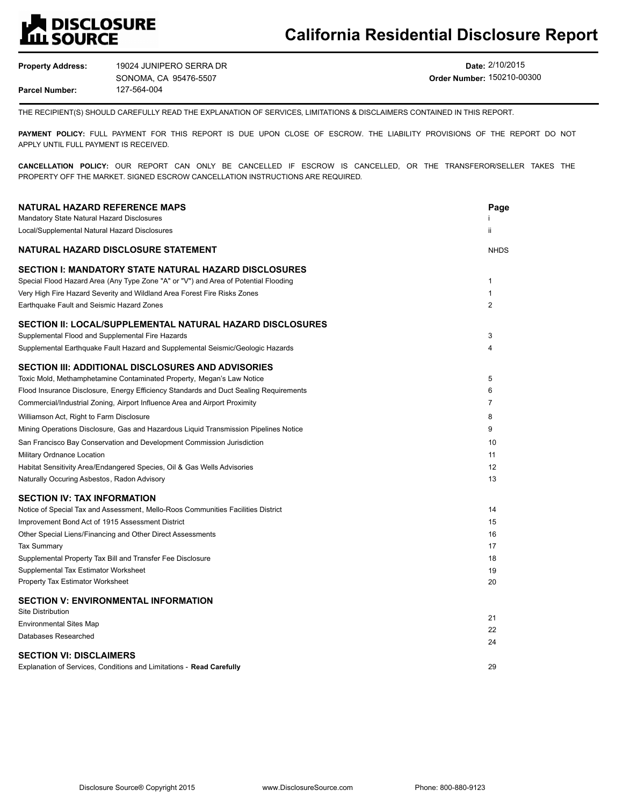# **A** DISCLOSURE<br>LL SOURCE

**Property Address: Parcel Number:** 127-564-004 19024 JUNIPERO SERRA DR SONOMA, CA 95476-5507

**Date:** 2/10/2015 **Order Number:** 150210-00300

THE RECIPIENT(S) SHOULD CAREFULLY READ THE EXPLANATION OF SERVICES, LIMITATIONS & DISCLAIMERS CONTAINED IN THIS REPORT.

**PAYMENT POLICY:** FULL PAYMENT FOR THIS REPORT IS DUE UPON CLOSE OF ESCROW. THE LIABILITY PROVISIONS OF THE REPORT DO NOT APPLY UNTIL FULL PAYMENT IS RECEIVED.

**CANCELLATION POLICY:** OUR REPORT CAN ONLY BE CANCELLED IF ESCROW IS CANCELLED, OR THE TRANSFEROR/SELLER TAKES THE PROPERTY OFF THE MARKET. SIGNED ESCROW CANCELLATION INSTRUCTIONS ARE REQUIRED.

| <b>NATURAL HAZARD REFERENCE MAPS</b>                                                  | Page           |
|---------------------------------------------------------------------------------------|----------------|
| Mandatory State Natural Hazard Disclosures                                            |                |
| Local/Supplemental Natural Hazard Disclosures                                         | ii             |
| NATURAL HAZARD DISCLOSURE STATEMENT                                                   | <b>NHDS</b>    |
| SECTION I: MANDATORY STATE NATURAL HAZARD DISCLOSURES                                 |                |
| Special Flood Hazard Area (Any Type Zone "A" or "V") and Area of Potential Flooding   | 1              |
| Very High Fire Hazard Severity and Wildland Area Forest Fire Risks Zones              | 1              |
| Earthquake Fault and Seismic Hazard Zones                                             | $\overline{2}$ |
| SECTION II: LOCAL/SUPPLEMENTAL NATURAL HAZARD DISCLOSURES                             |                |
| Supplemental Flood and Supplemental Fire Hazards                                      | 3              |
| Supplemental Earthquake Fault Hazard and Supplemental Seismic/Geologic Hazards        | 4              |
| SECTION III: ADDITIONAL DISCLOSURES AND ADVISORIES                                    |                |
| Toxic Mold, Methamphetamine Contaminated Property, Megan's Law Notice                 | 5              |
| Flood Insurance Disclosure, Energy Efficiency Standards and Duct Sealing Requirements | 6              |
| Commercial/Industrial Zoning, Airport Influence Area and Airport Proximity            | $\overline{7}$ |
| Williamson Act, Right to Farm Disclosure                                              | 8              |
| Mining Operations Disclosure, Gas and Hazardous Liquid Transmission Pipelines Notice  | 9              |
| San Francisco Bay Conservation and Development Commission Jurisdiction                | 10             |
| Military Ordnance Location                                                            | 11             |
| Habitat Sensitivity Area/Endangered Species, Oil & Gas Wells Advisories               | 12             |
| Naturally Occuring Asbestos, Radon Advisory                                           | 13             |
| <b>SECTION IV: TAX INFORMATION</b>                                                    |                |
| Notice of Special Tax and Assessment, Mello-Roos Communities Facilities District      | 14             |
| Improvement Bond Act of 1915 Assessment District                                      | 15             |
| Other Special Liens/Financing and Other Direct Assessments                            | 16             |
| <b>Tax Summary</b>                                                                    | 17             |
| Supplemental Property Tax Bill and Transfer Fee Disclosure                            | 18             |
| Supplemental Tax Estimator Worksheet                                                  | 19             |
| Property Tax Estimator Worksheet                                                      | 20             |
| <b>SECTION V: ENVIRONMENTAL INFORMATION</b>                                           |                |
| <b>Site Distribution</b>                                                              | 21             |
| <b>Environmental Sites Map</b>                                                        | 22             |
| Databases Researched                                                                  | 24             |
| <b>SECTION VI: DISCLAIMERS</b>                                                        |                |
| Explanation of Services, Conditions and Limitations - Read Carefully                  | 29             |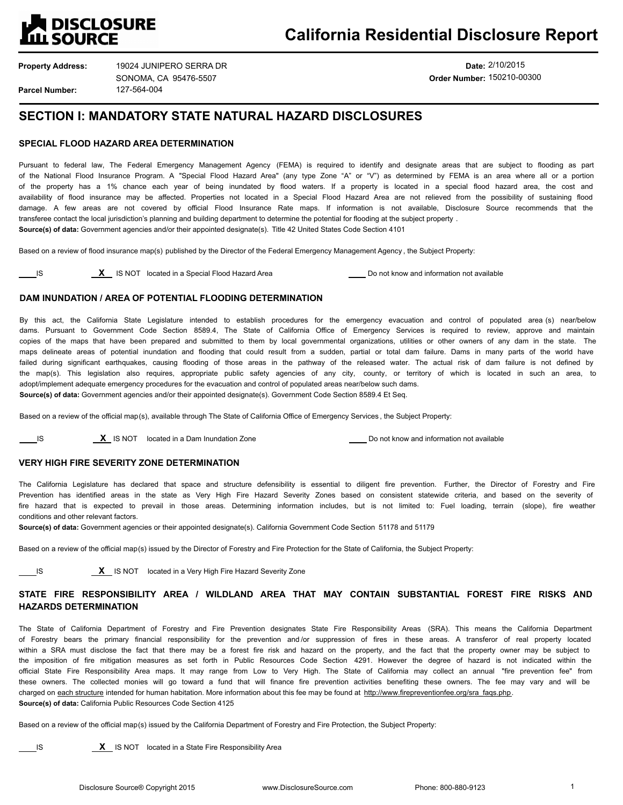

**Date:** 2/10/2015 **Order Number:** 150210-00300

## **SECTION I: MANDATORY STATE NATURAL HAZARD DISCLOSURES**

## **SPECIAL FLOOD HAZARD AREA DETERMINATION**

Pursuant to federal law, The Federal Emergency Management Agency (FEMA) is required to identify and designate areas that are subject to flooding as part of the National Flood Insurance Program. A "Special Flood Hazard Area" (any type Zone "A" or "V") as determined by FEMA is an area where all or a portion of the property has a 1% chance each year of being inundated by flood waters. If a property is located in a special flood hazard area, the cost and availability of flood insurance may be affected. Properties not located in a Special Flood Hazard Area are not relieved from the possibility of sustaining flood damage. A few areas are not covered by official Flood Insurance Rate maps. If information is not available, Disclosure Source recommends that the transferee contact the local jurisdiction's planning and building department to determine the potential for flooding at the subject property . **Source(s) of data:** Government agencies and/or their appointed designate(s). Title 42 United States Code Section 4101

Based on a review of flood insurance map(s) published by the Director of the Federal Emergency Management Agency , the Subject Property:

## **DAM INUNDATION / AREA OF POTENTIAL FLOODING DETERMINATION**

By this act, the California State Legislature intended to establish procedures for the emergency evacuation and control of populated area (s) near/below dams. Pursuant to Government Code Section 8589.4, The State of California Office of Emergency Services is required to review, approve and maintain copies of the maps that have been prepared and submitted to them by local governmental organizations, utilities or other owners of any dam in the state. The maps delineate areas of potential inundation and flooding that could result from a sudden, partial or total dam failure. Dams in many parts of the world have failed during significant earthquakes, causing flooding of those areas in the pathway of the released water. The actual risk of dam failure is not defined by the map(s). This legislation also requires, appropriate public safety agencies of any city, county, or territory of which is located in such an area, to adopt/implement adequate emergency procedures for the evacuation and control of populated areas near/below such dams. **Source(s) of data:** Government agencies and/or their appointed designate(s). Government Code Section 8589.4 Et Seq.

Based on a review of the official map(s), available through The State of California Office of Emergency Services , the Subject Property:

**IS** IS NOT located in a Dam Inundation Zone **Do Not a Dam Inundation Zone Do not know and information not available** 

## **VERY HIGH FIRE SEVERITY ZONE DETERMINATION**

The California Legislature has declared that space and structure defensibility is essential to diligent fire prevention. Further, the Director of Forestry and Fire Prevention has identified areas in the state as Very High Fire Hazard Severity Zones based on consistent statewide criteria, and based on the severity of fire hazard that is expected to prevail in those areas. Determining information includes, but is not limited to: Fuel loading, terrain (slope), fire weather conditions and other relevant factors.

**Source(s) of data:** Government agencies or their appointed designate(s). California Government Code Section 51178 and 51179

Based on a review of the official map(s) issued by the Director of Forestry and Fire Protection for the State of California, the Subject Property:

**IS X** IS NOT located in a Very High Fire Hazard Severity Zone

## **STATE FIRE RESPONSIBILITY AREA / WILDLAND AREA THAT MAY CONTAIN SUBSTANTIAL FOREST FIRE RISKS AND HAZARDS DETERMINATION**

The State of California Department of Forestry and Fire Prevention designates State Fire Responsibility Areas (SRA). This means the California Department of Forestry bears the primary financial responsibility for the prevention and /or suppression of fires in these areas. A transferor of real property located within a SRA must disclose the fact that there may be a forest fire risk and hazard on the property, and the fact that the property owner may be subject to the imposition of fire mitigation measures as set forth in Public Resources Code Section 4291. However the degree of hazard is not indicated within the official State Fire Responsibility Area maps. It may range from Low to Very High. The State of California may collect an annual "fire prevention fee" from these owners. The collected monies will go toward a fund that will finance fire prevention activities benefiting these owners. The fee may vary and will be charged on each structure intended for human habitation. More information about this fee may be found at http://www.firepreventionfee.org/sra\_faqs.php. **Source(s) of data:** California Public Resources Code Section 4125

Based on a review of the official map(s) issued by the California Department of Forestry and Fire Protection, the Subject Property:

**IS X** IS NOT located in a State Fire Responsibility Area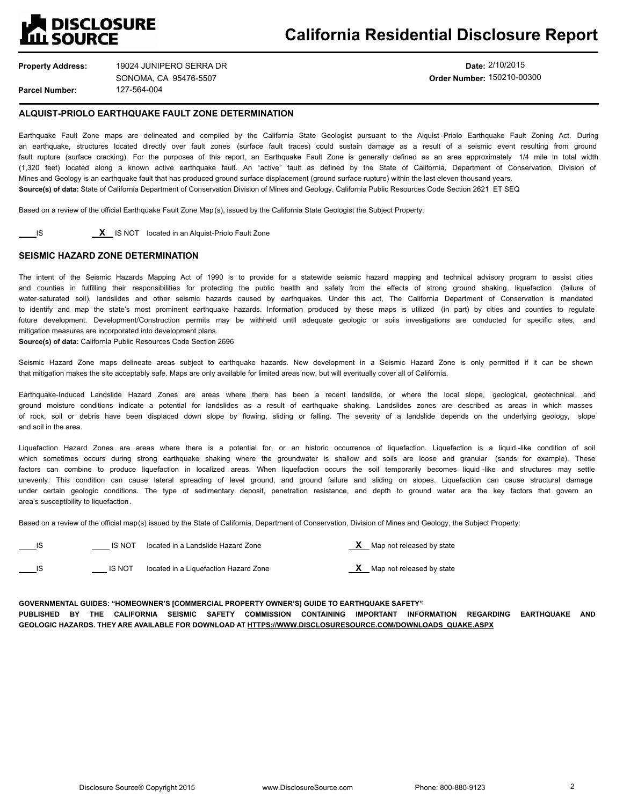## **DISCLOSURE ILL SOURCE**

**Property Address: Parcel Number:** 127-564-004 19024 JUNIPERO SERRA DR SONOMA, CA 95476-5507

**Date:** 2/10/2015 **Order Number:** 150210-00300

## **ALQUIST-PRIOLO EARTHQUAKE FAULT ZONE DETERMINATION**

Earthquake Fault Zone maps are delineated and compiled by the California State Geologist pursuant to the Alquist -Priolo Earthquake Fault Zoning Act. During an earthquake, structures located directly over fault zones (surface fault traces) could sustain damage as a result of a seismic event resulting from ground fault rupture (surface cracking). For the purposes of this report, an Earthquake Fault Zone is generally defined as an area approximately 1/4 mile in total width (1,320 feet) located along a known active earthquake fault. An "active" fault as defined by the State of California, Department of Conservation, Division of Mines and Geology is an earthquake fault that has produced ground surface displacement (ground surface rupture) within the last eleven thousand years. **Source(s) of data:** State of California Department of Conservation Division of Mines and Geology. California Public Resources Code Section 2621 ET SEQ

Based on a review of the official Earthquake Fault Zone Map(s), issued by the California State Geologist the Subject Property:

**IS** IS NOT located in an Alquist-Priolo Fault Zone

## **SEISMIC HAZARD ZONE DETERMINATION**

The intent of the Seismic Hazards Mapping Act of 1990 is to provide for a statewide seismic hazard mapping and technical advisory program to assist cities and counties in fulfilling their responsibilities for protecting the public health and safety from the effects of strong ground shaking, liquefaction (failure of water-saturated soil), landslides and other seismic hazards caused by earthquakes. Under this act, The California Department of Conservation is mandated to identify and map the state's most prominent earthquake hazards. Information produced by these maps is utilized (in part) by cities and counties to regulate future development. Development/Construction permits may be withheld until adequate geologic or soils investigations are conducted for specific sites, and mitigation measures are incorporated into development plans.

**Source(s) of data:** California Public Resources Code Section 2696

Seismic Hazard Zone maps delineate areas subject to earthquake hazards. New development in a Seismic Hazard Zone is only permitted if it can be shown that mitigation makes the site acceptably safe. Maps are only available for limited areas now, but will eventually cover all of California.

Earthquake-Induced Landslide Hazard Zones are areas where there has been a recent landslide, or where the local slope, geological, geotechnical, and ground moisture conditions indicate a potential for landslides as a result of earthquake shaking. Landslides zones are described as areas in which masses of rock, soil or debris have been displaced down slope by flowing, sliding or falling. The severity of a landslide depends on the underlying geology, slope and soil in the area.

Liquefaction Hazard Zones are areas where there is a potential for, or an historic occurrence of liquefaction. Liquefaction is a liquid -like condition of soil which sometimes occurs during strong earthquake shaking where the groundwater is shallow and soils are loose and granular (sands for example). These factors can combine to produce liquefaction in localized areas. When liquefaction occurs the soil temporarily becomes liquid -like and structures may settle unevenly. This condition can cause lateral spreading of level ground, and ground failure and sliding on slopes. Liquefaction can cause structural damage under certain geologic conditions. The type of sedimentary deposit, penetration resistance, and depth to ground water are the key factors that govern an area's susceptibility to liquefaction.

Based on a review of the official map(s) issued by the State of California, Department of Conservation, Division of Mines and Geology, the Subject Property:

| <b>IS NOT</b> | located in a Landslide Hazard Zone    | Map not released by state |
|---------------|---------------------------------------|---------------------------|
| <b>IS NOT</b> | located in a Liquefaction Hazard Zone | Map not released by state |

**GOVERNMENTAL GUIDES: "HOMEOWNER'S [COMMERCIAL PROPERTY OWNER'S] GUIDE TO EARTHQUAKE SAFETY"** 

**PUBLISHED BY THE CALIFORNIA SEISMIC SAFETY COMMISSION CONTAINING IMPORTANT INFORMATION REGARDING EARTHQUAKE AND GEOLOGIC HAZARDS. THEY ARE AVAILABLE FOR DOWNLOAD AT HTTPS://WWW.DISCLOSURESOURCE.COM/DOWNLOADS\_QUAKE.ASPX**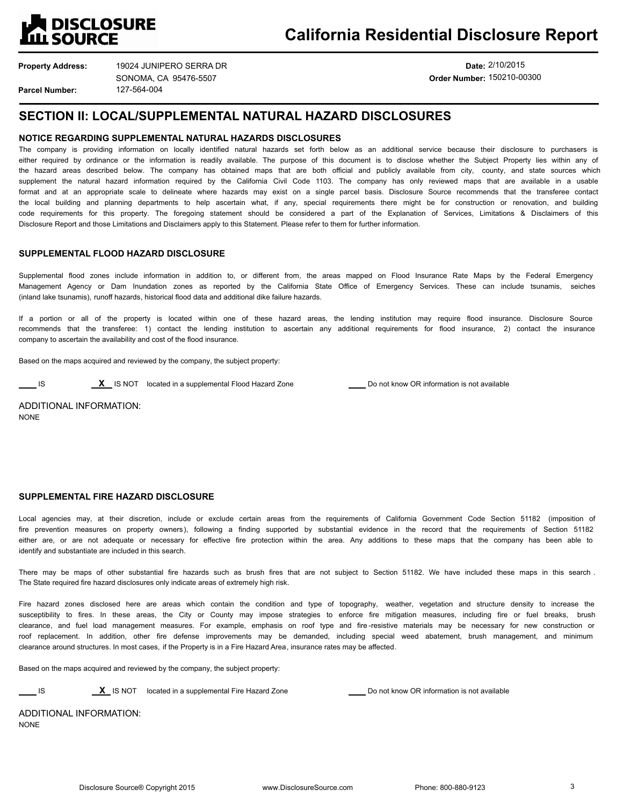

**Property Address: Parcel Number:**

127-564-004 19024 JUNIPERO SERRA DR SONOMA, CA 95476-5507

**Date:** 2/10/2015 **Order Number:** 150210-00300

## **SECTION II: LOCAL/SUPPLEMENTAL NATURAL HAZARD DISCLOSURES**

## **NOTICE REGARDING SUPPLEMENTAL NATURAL HAZARDS DISCLOSURES**

The company is providing information on locally identified natural hazards set forth below as an additional service because their disclosure to purchasers is either required by ordinance or the information is readily available. The purpose of this document is to disclose whether the Subject Property lies within any of the hazard areas described below. The company has obtained maps that are both official and publicly available from city, county, and state sources which supplement the natural hazard information required by the California Civil Code 1103. The company has only reviewed maps that are available in a usable format and at an appropriate scale to delineate where hazards may exist on a single parcel basis. Disclosure Source recommends that the transferee contact the local building and planning departments to help ascertain what, if any, special requirements there might be for construction or renovation, and building code requirements for this property. The foregoing statement should be considered a part of the Explanation of Services, Limitations & Disclaimers of this Disclosure Report and those Limitations and Disclaimers apply to this Statement. Please refer to them for further information.

## **SUPPLEMENTAL FLOOD HAZARD DISCLOSURE**

Supplemental flood zones include information in addition to, or different from, the areas mapped on Flood Insurance Rate Maps by the Federal Emergency Management Agency or Dam Inundation zones as reported by the California State Office of Emergency Services. These can include tsunamis, seiches (inland lake tsunamis), runoff hazards, historical flood data and additional dike failure hazards.

If a portion or all of the property is located within one of these hazard areas, the lending institution may require flood insurance. Disclosure Source recommends that the transferee: 1) contact the lending institution to ascertain any additional requirements for flood insurance, 2) contact the insurance company to ascertain the availability and cost of the flood insurance.

Based on the maps acquired and reviewed by the company, the subject property:

**IS ACCULTE IS NOT** located in a supplemental Flood Hazard Zone **Do not know OR information is not available** 

ADDITIONAL INFORMATION: **NONE** 

## **SUPPLEMENTAL FIRE HAZARD DISCLOSURE**

Local agencies may, at their discretion, include or exclude certain areas from the requirements of California Government Code Section 51182 (imposition of fire prevention measures on property owners), following a finding supported by substantial evidence in the record that the requirements of Section 51182 either are, or are not adequate or necessary for effective fire protection within the area. Any additions to these maps that the company has been able to identify and substantiate are included in this search.

There may be maps of other substantial fire hazards such as brush fires that are not subject to Section 51182. We have included these maps in this search . The State required fire hazard disclosures only indicate areas of extremely high risk.

Fire hazard zones disclosed here are areas which contain the condition and type of topography, weather, vegetation and structure density to increase the susceptibility to fires. In these areas, the City or County may impose strategies to enforce fire mitigation measures, including fire or fuel breaks, brush clearance, and fuel load management measures. For example, emphasis on roof type and fire -resistive materials may be necessary for new construction or roof replacement. In addition, other fire defense improvements may be demanded, including special weed abatement, brush management, and minimum clearance around structures. In most cases, if the Property is in a Fire Hazard Area, insurance rates may be affected.

Based on the maps acquired and reviewed by the company, the subject property:

**IS** IS **X** IS NOT located in a supplemental Fire Hazard Zone **Domest Conduct ACCO** not know OR information is not available

ADDITIONAL INFORMATION: NONE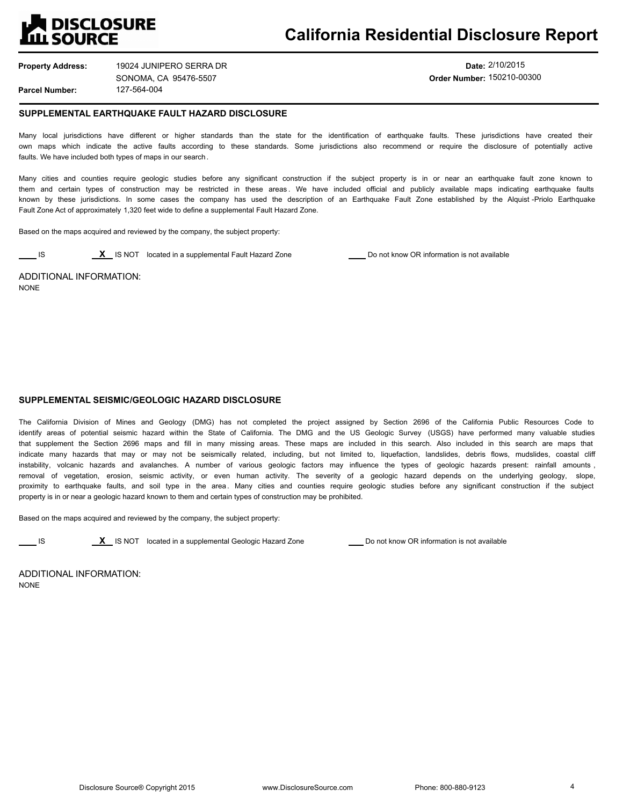

**Date:** 2/10/2015 **Order Number:** 150210-00300

## **SUPPLEMENTAL EARTHQUAKE FAULT HAZARD DISCLOSURE**

Many local jurisdictions have different or higher standards than the state for the identification of earthquake faults. These jurisdictions have created their own maps which indicate the active faults according to these standards. Some jurisdictions also recommend or require the disclosure of potentially active faults. We have included both types of maps in our search.

Many cities and counties require geologic studies before any significant construction if the subject property is in or near an earthquake fault zone known to them and certain types of construction may be restricted in these areas . We have included official and publicly available maps indicating earthquake faults known by these jurisdictions. In some cases the company has used the description of an Earthquake Fault Zone established by the Alquist -Priolo Earthquake Fault Zone Act of approximately 1,320 feet wide to define a supplemental Fault Hazard Zone.

Based on the maps acquired and reviewed by the company, the subject property:

**IS X** IS NOT located in a supplemental Fault Hazard Zone **Do not know OR** information is not available

ADDITIONAL INFORMATION: NONE

## **SUPPLEMENTAL SEISMIC/GEOLOGIC HAZARD DISCLOSURE**

The California Division of Mines and Geology (DMG) has not completed the project assigned by Section 2696 of the California Public Resources Code to identify areas of potential seismic hazard within the State of California. The DMG and the US Geologic Survey (USGS) have performed many valuable studies that supplement the Section 2696 maps and fill in many missing areas. These maps are included in this search. Also included in this search are maps that indicate many hazards that may or may not be seismically related, including, but not limited to, liquefaction, landslides, debris flows, mudslides, coastal cliff instability, volcanic hazards and avalanches. A number of various geologic factors may influence the types of geologic hazards present: rainfall amounts, removal of vegetation, erosion, seismic activity, or even human activity. The severity of a geologic hazard depends on the underlying geology, slope, proximity to earthquake faults, and soil type in the area. Many cities and counties require geologic studies before any significant construction if the subject property is in or near a geologic hazard known to them and certain types of construction may be prohibited.

Based on the maps acquired and reviewed by the company, the subject property:

**IS IS** IS NOT located in a supplemental Geologic Hazard Zone **Do not know OR information is not available** 

ADDITIONAL INFORMATION: NONE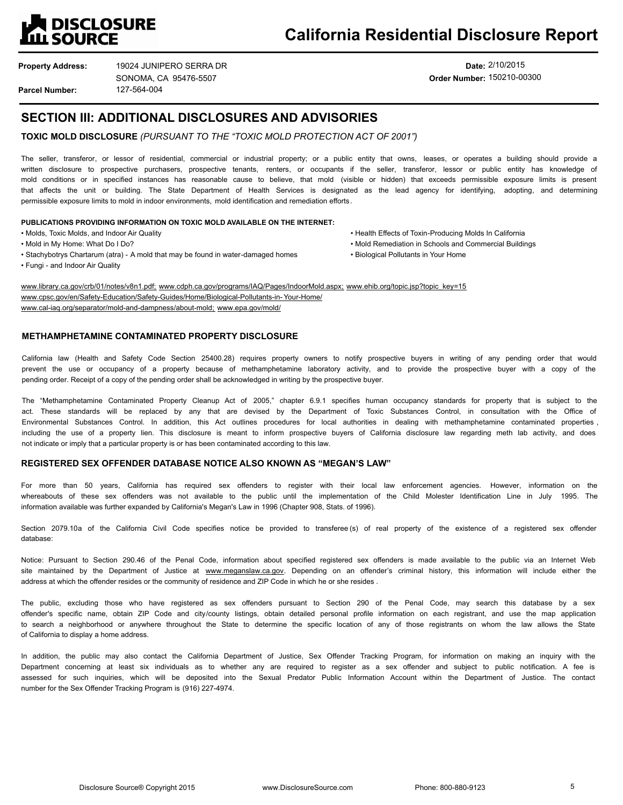

**Property Address:**

127-564-004 19024 JUNIPERO SERRA DR SONOMA, CA 95476-5507

## **Date:** 2/10/2015 **Order Number:** 150210-00300

**Parcel Number:**

## **SECTION III: ADDITIONAL DISCLOSURES AND ADVISORIES**

**TOXIC MOLD DISCLOSURE** *(PURSUANT TO THE "TOXIC MOLD PROTECTION ACT OF 2001")*

The seller, transferor, or lessor of residential, commercial or industrial property; or a public entity that owns, leases, or operates a building should provide a written disclosure to prospective purchasers, prospective tenants, renters, or occupants if the seller, transferor, lessor or public entity has knowledge of mold conditions or in specified instances has reasonable cause to believe, that mold (visible or hidden) that exceeds permissible exposure limits is present that affects the unit or building. The State Department of Health Services is designated as the lead agency for identifying, adopting, and determining permissible exposure limits to mold in indoor environments, mold identification and remediation efforts.

### **PUBLICATIONS PROVIDING INFORMATION ON TOXIC MOLD AVAILABLE ON THE INTERNET:**

- 
- 
- Stachybotrys Chartarum (atra) A mold that may be found in water-damaged homes Biological Pollutants in Your Home
- Fungi and Indoor Air Quality
- Molds, Toxic Molds, and Indoor Air Quality The Although California Health Effects of Toxin-Producing Molds In California
- Mold in My Home: What Do I Do? Mold Remediation in Schools and Commercial Buildings
	-

www.library.ca.gov/crb/01/notes/v8n1.pdf; www.cdph.ca.gov/programs/IAQ/Pages/IndoorMold.aspx; www.ehib.org/topic.jsp?topic\_key=15 www.cpsc.gov/en/Safety-Education/Safety-Guides/Home/Biological-Pollutants-in-Your-Home/ www.cal-iaq.org/separator/mold-and-dampness/about-mold; www.epa.gov/mold/

## **METHAMPHETAMINE CONTAMINATED PROPERTY DISCLOSURE**

California law (Health and Safety Code Section 25400.28) requires property owners to notify prospective buyers in writing of any pending order that would prevent the use or occupancy of a property because of methamphetamine laboratory activity, and to provide the prospective buyer with a copy of the pending order. Receipt of a copy of the pending order shall be acknowledged in writing by the prospective buyer.

The "Methamphetamine Contaminated Property Cleanup Act of 2005," chapter 6.9.1 specifies human occupancy standards for property that is subject to the act. These standards will be replaced by any that are devised by the Department of Toxic Substances Control, in consultation with the Office of Environmental Substances Control. In addition, this Act outlines procedures for local authorities in dealing with methamphetamine contaminated properties , including the use of a property lien. This disclosure is meant to inform prospective buyers of California disclosure law regarding meth lab activity, and does not indicate or imply that a particular property is or has been contaminated according to this law.

## **REGISTERED SEX OFFENDER DATABASE NOTICE ALSO KNOWN AS "MEGAN'S LAW"**

For more than 50 years, California has required sex offenders to register with their local law enforcement agencies. However, information on the whereabouts of these sex offenders was not available to the public until the implementation of the Child Molester Identification Line in July 1995. The information available was further expanded by California's Megan's Law in 1996 (Chapter 908, Stats. of 1996).

Section 2079.10a of the California Civil Code specifies notice be provided to transferee (s) of real property of the existence of a registered sex offender database:

Notice: Pursuant to Section 290.46 of the Penal Code, information about specified registered sex offenders is made available to the public via an Internet Web site maintained by the Department of Justice at www.meganslaw.ca.gov. Depending on an offender's criminal history, this information will include either the address at which the offender resides or the community of residence and ZIP Code in which he or she resides .

The public, excluding those who have registered as sex offenders pursuant to Section 290 of the Penal Code, may search this database by a sex offender's specific name, obtain ZIP Code and city/county listings, obtain detailed personal profile information on each registrant, and use the map application to search a neighborhood or anywhere throughout the State to determine the specific location of any of those registrants on whom the law allows the State of California to display a home address.

In addition, the public may also contact the California Department of Justice, Sex Offender Tracking Program, for information on making an inquiry with the Department concerning at least six individuals as to whether any are required to register as a sex offender and subject to public notification. A fee is assessed for such inquiries, which will be deposited into the Sexual Predator Public Information Account within the Department of Justice. The contact number for the Sex Offender Tracking Program is (916) 227-4974.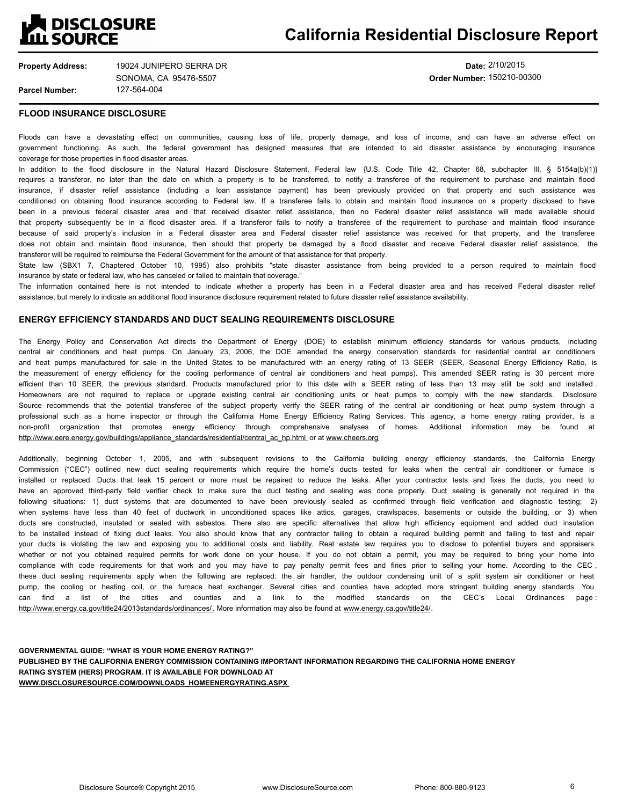

**Date:** 2/10/2015 **Order Number:** 150210-00300

## **FLOOD INSURANCE DISCLOSURE**

Floods can have a devastating effect on communities, causing loss of life, property damage, and loss of income, and can have an adverse effect on government functioning. As such, the federal government has designed measures that are intended to aid disaster assistance by encouraging insurance coverage for those properties in flood disaster areas.

In addition to the flood disclosure in the Natural Hazard Disclosure Statement, Federal law {U.S. Code Title 42, Chapter 68, subchapter III, § 5154a(b)(1)} requires a transferor, no later than the date on which a property is to be transferred, to notify a transferee of the requirement to purchase and maintain flood insurance, if disaster relief assistance (including a loan assistance payment) has been previously provided on that property and such assistance was conditioned on obtaining flood insurance according to Federal law. If a transferee fails to obtain and maintain flood insurance on a property disclosed to have been in a previous federal disaster area and that received disaster relief assistance, then no Federal disaster relief assistance will made available should that property subsequently be in a flood disaster area. If a transferor fails to notify a transferee of the requirement to purchase and maintain flood insurance because of said property's inclusion in a Federal disaster area and Federal disaster relief assistance was received for that property, and the transferee does not obtain and maintain flood insurance, then should that property be damaged by a flood disaster and receive Federal disaster relief assistance, the transferor will be required to reimburse the Federal Government for the amount of that assistance for that property.

State law (SBX1 7, Chaptered October 10, 1995) also prohibits "state disaster assistance from being provided to a person required to maintain flood insurance by state or federal law, who has canceled or failed to maintain that coverage."

The information contained here is not intended to indicate whether a property has been in a Federal disaster area and has received Federal disaster relief assistance, but merely to indicate an additional flood insurance disclosure requirement related to future disaster relief assistance availability.

## **ENERGY EFFICIENCY STANDARDS AND DUCT SEALING REQUIREMENTS DISCLOSURE**

The Energy Policy and Conservation Act directs the Department of Energy (DOE) to establish minimum efficiency standards for various products, including central air conditioners and heat pumps. On January 23, 2006, the DOE amended the energy conservation standards for residential central air conditioners and heat pumps manufactured for sale in the United States to be manufactured with an energy rating of 13 SEER (SEER, Seasonal Energy Efficiency Ratio, is the measurement of energy efficiency for the cooling performance of central air conditioners and heat pumps). This amended SEER rating is 30 percent more efficient than 10 SEER, the previous standard. Products manufactured prior to this date with a SEER rating of less than 13 may still be sold and installed. Homeowners are not required to replace or upgrade existing central air conditioning units or heat pumps to comply with the new standards. Disclosure Source recommends that the potential transferee of the subject property verify the SEER rating of the central air conditioning or heat pump system through a professional such as a home inspector or through the California Home Energy Efficiency Rating Services. This agency, a home energy rating provider, is a non-profit organization that promotes energy efficiency through comprehensive analyses of homes. Additional information may be found at http://www.eere.energy.gov/buildings/appliance\_standards/residential/central\_ac\_hp.html or at www.cheers.org

Additionally, beginning October 1, 2005, and with subsequent revisions to the California building energy efficiency standards, the California Energy Commission ("CEC") outlined new duct sealing requirements which require the home's ducts tested for leaks when the central air conditioner or furnace is installed or replaced. Ducts that leak 15 percent or more must be repaired to reduce the leaks. After your contractor tests and fixes the ducts, you need to have an approved third-party field verifier check to make sure the duct testing and sealing was done properly. Duct sealing is generally not required in the following situations: 1) duct systems that are documented to have been previously sealed as confirmed through field verification and diagnostic testing; 2) when systems have less than 40 feet of ductwork in unconditioned spaces like attics, garages, crawlspaces, basements or outside the building, or 3) when ducts are constructed, insulated or sealed with asbestos. There also are specific alternatives that allow high efficiency equipment and added duct insulation to be installed instead of fixing duct leaks. You also should know that any contractor failing to obtain a required building permit and failing to test and repair your ducts is violating the law and exposing you to additional costs and liability. Real estate law requires you to disclose to potential buyers and appraisers whether or not you obtained required permits for work done on your house. If you do not obtain a permit, you may be required to bring your home into compliance with code requirements for that work and you may have to pay penalty permit fees and fines prior to selling your home. According to the CEC , these duct sealing requirements apply when the following are replaced: the air handler, the outdoor condensing unit of a split system air conditioner or heat pump, the cooling or heating coil, or the furnace heat exchanger. Several cities and counties have adopted more stringent building energy standards. You can find a list of the cities and counties and a link to the modified standards on the CEC's Local Ordinances page: http://www.energy.ca.gov/title24/2013standards/ordinances/ . More information may also be found at www.energy.ca.gov/title24/.

**GOVERNMENTAL GUIDE: "WHAT IS YOUR HOME ENERGY RATING?" PUBLISHED BY THE CALIFORNIA ENERGY COMMISSION CONTAINING IMPORTANT INFORMATION REGARDING THE CALIFORNIA HOME ENERGY RATING SYSTEM (HERS) PROGRAM. IT IS AVAILABLE FOR DOWNLOAD AT WWW.DISCLOSURESOURCE.COM/DOWNLOADS\_HOMEENERGYRATING.ASPX**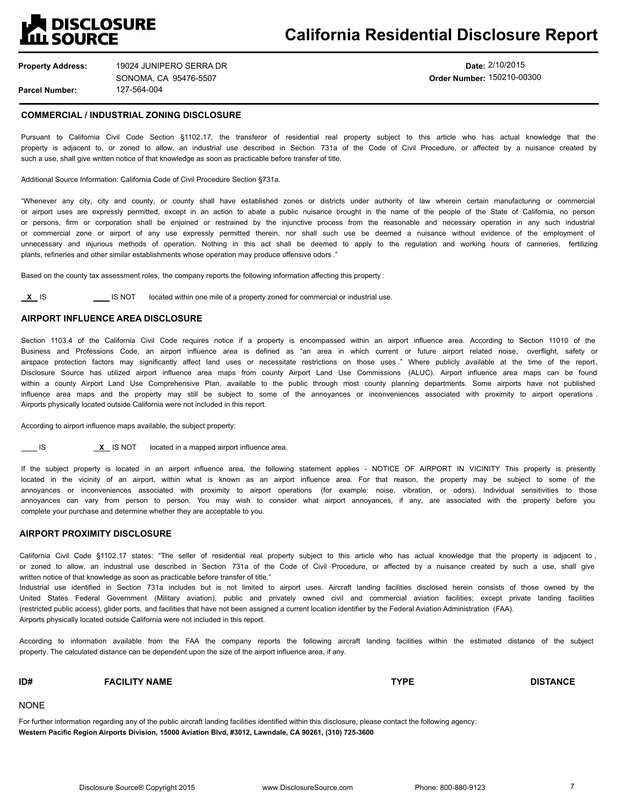# **A DISCLOSURE**<br>LL SOURCE

## **California Residential Disclosure Report**

**Property Address: Parcel Number:** 127-564-004 19024 JUNIPERO SERRA DR SONOMA, CA 95476-5507

**Date:** 2/10/2015 **Order Number:** 150210-00300

## **COMMERCIAL / INDUSTRIAL ZONING DISCLOSURE**

Pursuant to California Civil Code Section §1102**.**17, the transferor of residential real property subject to this article who has actual knowledge that the property is adjacent to, or zoned to allow, an industrial use described in Section 731a of the Code of Civil Procedure, or affected by a nuisance created by such a use, shall give written notice of that knowledge as soon as practicable before transfer of title.

### Additional Source Information: California Code of Civil Procedure Section §731a.

"Whenever any city, city and county, or county shall have established zones or districts under authority of law wherein certain manufacturing or commercial or airport uses are expressly permitted, except in an action to abate a public nuisance brought in the name of the people of the State of California, no person or persons, firm or corporation shall be enjoined or restrained by the injunctive process from the reasonable and necessary operation in any such industrial or commercial zone or airport of any use expressly permitted therein, nor shall such use be deemed a nuisance without evidence of the employment of unnecessary and injurious methods of operation. Nothing in this act shall be deemed to apply to the regulation and working hours of canneries, fertilizing plants, refineries and other similar establishments whose operation may produce offensive odors ."

Based on the county tax assessment roles, the company reports the following information affecting this property :

**X** IS **IS NOT** located within one mile of a property zoned for commercial or industrial use.

## **AIRPORT INFLUENCE AREA DISCLOSURE**

Section 1103.4 of the California Civil Code requires notice if a property is encompassed within an airport influence area. According to Section 11010 of the Business and Professions Code, an airport influence area is defined as "an area in which current or future airport related noise, overflight, safety or airspace protection factors may significantly affect land uses or necessitate restrictions on those uses ." Where publicly available at the time of the report, Disclosure Source has utilized airport influence area maps from county Airport Land Use Commissions (ALUC). Airport influence area maps can be found within a county Airport Land Use Comprehensive Plan, available to the public through most county planning departments. Some airports have not published influence area maps and the property may still be subject to some of the annoyances or inconveniences associated with proximity to airport operations. Airports physically located outside California were not included in this report.

According to airport influence maps available, the subject property:

**IS** IS NOT located in a mapped airport influence area.

If the subject property is located in an airport influence area, the following statement applies - NOTICE OF AIRPORT IN VICINITY This property is presently located in the vicinity of an airport, within what is known as an airport influence area. For that reason, the property may be subject to some of the annoyances or inconveniences associated with proximity to airport operations (for example: noise, vibration, or odors). Individual sensitivities to those annoyances can vary from person to person. You may wish to consider what airport annoyances, if any, are associated with the property before you complete your purchase and determine whether they are acceptable to you.

### **AIRPORT PROXIMITY DISCLOSURE**

California Civil Code §1102.17 states: "The seller of residential real property subject to this article who has actual knowledge that the property is adjacent to, or zoned to allow, an industrial use described in Section 731a of the Code of Civil Procedure, or affected by a nuisance created by such a use, shall give written notice of that knowledge as soon as practicable before transfer of title."

Industrial use identified in Section 731a includes but is not limited to airport uses. Aircraft landing facilities disclosed herein consists of those owned by the United States Federal Government (Military aviation), public and privately owned civil and commercial aviation facilities; except private landing facilities (restricted public access), glider ports, and facilities that have not been assigned a current location identifier by the Federal Aviation Administration (FAA). Airports physically located outside California were not included in this report.

According to information available from the FAA the company reports the following aircraft landing facilities within the estimated distance of the subject property. The calculated distance can be dependent upon the size of the airport influence area, if any.

## **ID# FACILITY NAME TYPE DISTANCE**

NONE

For further information regarding any of the public aircraft landing facilities identified within this disclosure, please contact the following agency: **Western Pacific Region Airports Division, 15000 Aviation Blvd, #3012, Lawndale, CA 90261, (310) 725-3600**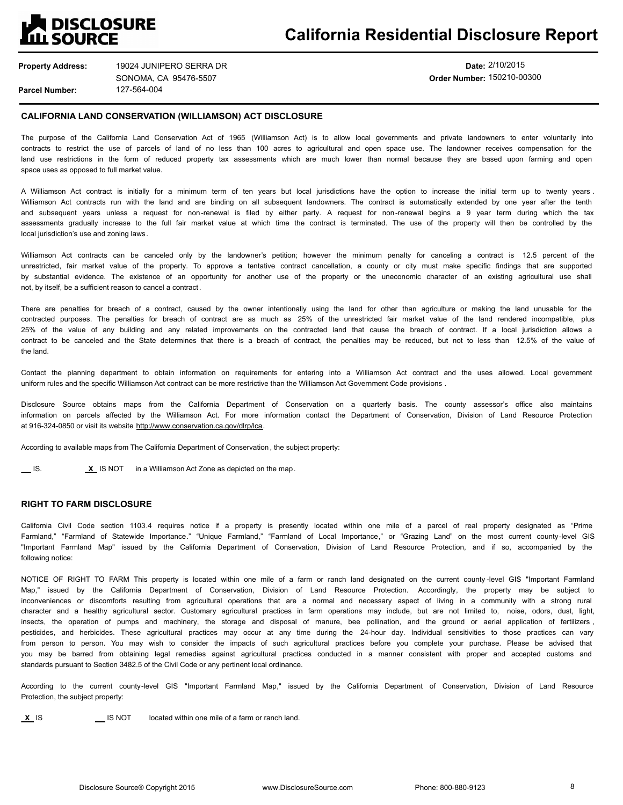# **A DISCLOSURE<br>LL SOURCE**

# **California Residential Disclosure Report**

**Property Address: Parcel Number:** 127-564-004 19024 JUNIPERO SERRA DR SONOMA, CA 95476-5507

## **Date:** 2/10/2015 **Order Number:** 150210-00300

## **CALIFORNIA LAND CONSERVATION (WILLIAMSON) ACT DISCLOSURE**

The purpose of the California Land Conservation Act of 1965 (Williamson Act) is to allow local governments and private landowners to enter voluntarily into contracts to restrict the use of parcels of land of no less than 100 acres to agricultural and open space use. The landowner receives compensation for the land use restrictions in the form of reduced property tax assessments which are much lower than normal because they are based upon farming and open space uses as opposed to full market value.

A Williamson Act contract is initially for a minimum term of ten years but local jurisdictions have the option to increase the initial term up to twenty years . Williamson Act contracts run with the land and are binding on all subsequent landowners. The contract is automatically extended by one year after the tenth and subsequent years unless a request for non-renewal is filed by either party. A request for non-renewal begins a 9 year term during which the tax assessments gradually increase to the full fair market value at which time the contract is terminated. The use of the property will then be controlled by the local jurisdiction's use and zoning laws.

Williamson Act contracts can be canceled only by the landowner's petition; however the minimum penalty for canceling a contract is 12.5 percent of the unrestricted, fair market value of the property. To approve a tentative contract cancellation, a county or city must make specific findings that are supported by substantial evidence. The existence of an opportunity for another use of the property or the uneconomic character of an existing agricultural use shall not, by itself, be a sufficient reason to cancel a contract.

There are penalties for breach of a contract, caused by the owner intentionally using the land for other than agriculture or making the land unusable for the contracted purposes. The penalties for breach of contract are as much as 25% of the unrestricted fair market value of the land rendered incompatible, plus 25% of the value of any building and any related improvements on the contracted land that cause the breach of contract. If a local jurisdiction allows a contract to be canceled and the State determines that there is a breach of contract, the penalties may be reduced, but not to less than 12.5% of the value of the land.

Contact the planning department to obtain information on requirements for entering into a Williamson Act contract and the uses allowed. Local government uniform rules and the specific Williamson Act contract can be more restrictive than the Williamson Act Government Code provisions .

Disclosure Source obtains maps from the California Department of Conservation on a quarterly basis. The county assessor's office also maintains information on parcels affected by the Williamson Act. For more information contact the Department of Conservation, Division of Land Resource Protection at 916-324-0850 or visit its website http://www.conservation.ca.gov/dlrp/lca.

According to available maps from The California Department of Conservation , the subject property:

**IS. X** IS NOT in a Williamson Act Zone as depicted on the map.

## **RIGHT TO FARM DISCLOSURE**

California Civil Code section 1103.4 requires notice if a property is presently located within one mile of a parcel of real property designated as "Prime Farmland," "Farmland of Statewide Importance." "Unique Farmland," "Farmland of Local Importance," or "Grazing Land" on the most current county-level GIS "Important Farmland Map" issued by the California Department of Conservation, Division of Land Resource Protection, and if so, accompanied by the following notice:

NOTICE OF RIGHT TO FARM This property is located within one mile of a farm or ranch land designated on the current county -level GIS "Important Farmland Map," issued by the California Department of Conservation, Division of Land Resource Protection. Accordingly, the property may be subject to inconveniences or discomforts resulting from agricultural operations that are a normal and necessary aspect of living in a community with a strong rural character and a healthy agricultural sector. Customary agricultural practices in farm operations may include, but are not limited to, noise, odors, dust, light, insects, the operation of pumps and machinery, the storage and disposal of manure, bee pollination, and the ground or aerial application of fertilizers , pesticides, and herbicides. These agricultural practices may occur at any time during the 24-hour day. Individual sensitivities to those practices can vary from person to person. You may wish to consider the impacts of such agricultural practices before you complete your purchase. Please be advised that you may be barred from obtaining legal remedies against agricultural practices conducted in a manner consistent with proper and accepted customs and standards pursuant to Section 3482.5 of the Civil Code or any pertinent local ordinance.

According to the current county-level GIS "Important Farmland Map," issued by the California Department of Conservation, Division of Land Resource Protection, the subject property:

**X** IS **IS NOT** located within one mile of a farm or ranch land.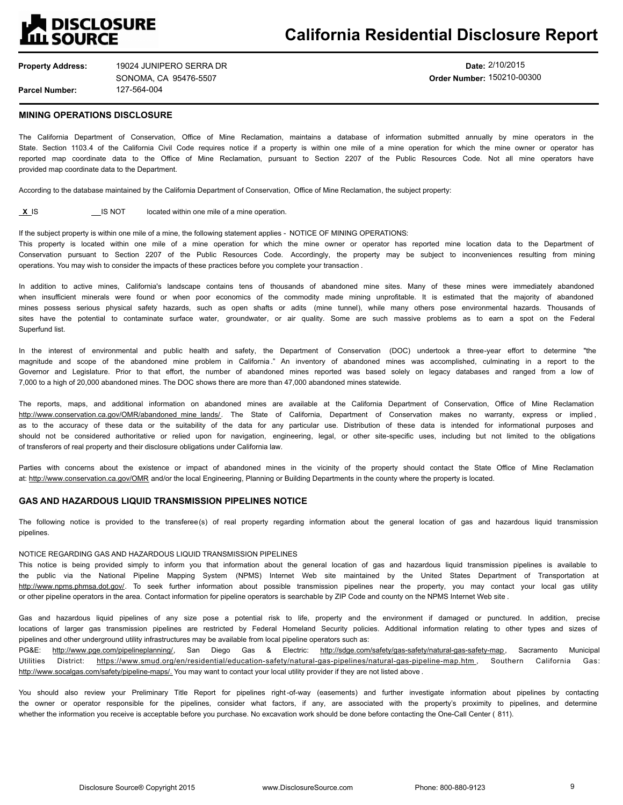

**Date:** 2/10/2015 **Order Number:** 150210-00300

## **MINING OPERATIONS DISCLOSURE**

The California Department of Conservation, Office of Mine Reclamation, maintains a database of information submitted annually by mine operators in the State. Section 1103.4 of the California Civil Code requires notice if a property is within one mile of a mine operation for which the mine owner or operator has reported map coordinate data to the Office of Mine Reclamation, pursuant to Section 2207 of the Public Resources Code. Not all mine operators have provided map coordinate data to the Department.

According to the database maintained by the California Department of Conservation, Office of Mine Reclamation, the subject property:

**X** IS **IS** IS NOT located within one mile of a mine operation.

If the subject property is within one mile of a mine, the following statement applies - NOTICE OF MINING OPERATIONS: This property is located within one mile of a mine operation for which the mine owner or operator has reported mine location data to the Department of Conservation pursuant to Section 2207 of the Public Resources Code. Accordingly, the property may be subject to inconveniences resulting from mining operations. You may wish to consider the impacts of these practices before you complete your transaction .

In addition to active mines, California's landscape contains tens of thousands of abandoned mine sites. Many of these mines were immediately abandoned when insufficient minerals were found or when poor economics of the commodity made mining unprofitable. It is estimated that the majority of abandoned mines possess serious physical safety hazards, such as open shafts or adits (mine tunnel), while many others pose environmental hazards. Thousands of sites have the potential to contaminate surface water, groundwater, or air quality. Some are such massive problems as to earn a spot on the Federal Superfund list.

In the interest of environmental and public health and safety, the Department of Conservation (DOC) undertook a three-year effort to determine "the magnitude and scope of the abandoned mine problem in California ." An inventory of abandoned mines was accomplished, culminating in a report to the Governor and Legislature. Prior to that effort, the number of abandoned mines reported was based solely on legacy databases and ranged from a low of 7,000 to a high of 20,000 abandoned mines. The DOC shows there are more than 47,000 abandoned mines statewide.

The reports, maps, and additional information on abandoned mines are available at the California Department of Conservation, Office of Mine Reclamation http://www.conservation.ca.gov/OMR/abandoned mine lands/. The State of California, Department of Conservation makes no warranty, express or implied, as to the accuracy of these data or the suitability of the data for any particular use. Distribution of these data is intended for informational purposes and should not be considered authoritative or relied upon for navigation, engineering, legal, or other site-specific uses, including but not limited to the obligations of transferors of real property and their disclosure obligations under California law.

Parties with concerns about the existence or impact of abandoned mines in the vicinity of the property should contact the State Office of Mine Reclamation at: http://www.conservation.ca.gov/OMR and/or the local Engineering, Planning or Building Departments in the county where the property is located.

## **GAS AND HAZARDOUS LIQUID TRANSMISSION PIPELINES NOTICE**

The following notice is provided to the transferee(s) of real property regarding information about the general location of gas and hazardous liquid transmission pipelines.

#### NOTICE REGARDING GAS AND HAZARDOUS LIQUID TRANSMISSION PIPELINES

This notice is being provided simply to inform you that information about the general location of gas and hazardous liquid transmission pipelines is available to the public via the National Pipeline Mapping System (NPMS) Internet Web site maintained by the United States Department of Transportation at http://www.npms.phmsa.dot.gov/. To seek further information about possible transmission pipelines near the property, you may contact your local gas utility or other pipeline operators in the area. Contact information for pipeline operators is searchable by ZIP Code and county on the NPMS Internet Web site .

Gas and hazardous liquid pipelines of any size pose a potential risk to life, property and the environment if damaged or punctured. In addition, precise locations of larger gas transmission pipelines are restricted by Federal Homeland Security policies. Additional information relating to other types and sizes of pipelines and other underground utility infrastructures may be available from local pipeline operators such as:

PG&E: http://www.pge.com/pipelineplanning/, San Diego Gas & Electric: http://sdge.com/safety/gas-safety/natural-gas-safety-map, Sacramento Municipal Utilities District: https://www.smud.org/en/residential/education-safety/natural-gas-pipelines/natural-gas-pipeline-map.htm , Southern California Gas: http://www.socalgas.com/safety/pipeline-maps/. You may want to contact your local utility provider if they are not listed above .

You should also review your Preliminary Title Report for pipelines right-of-way (easements) and further investigate information about pipelines by contacting the owner or operator responsible for the pipelines, consider what factors, if any, are associated with the property's proximity to pipelines, and determine whether the information you receive is acceptable before you purchase. No excavation work should be done before contacting the One-Call Center ( 811).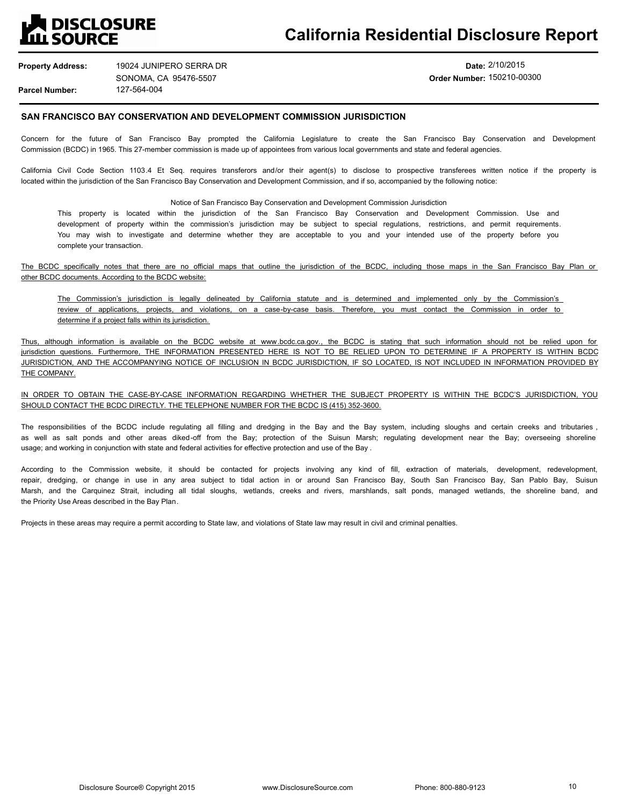## **TES DISCLOSURE ILL SOURCE**

# **California Residential Disclosure Report**

**Property Address: Parcel Number:** 127-564-004 19024 JUNIPERO SERRA DR SONOMA, CA 95476-5507

## **Date:** 2/10/2015 **Order Number:** 150210-00300

## **SAN FRANCISCO BAY CONSERVATION AND DEVELOPMENT COMMISSION JURISDICTION**

Concern for the future of San Francisco Bay prompted the California Legislature to create the San Francisco Bay Conservation and Development Commission (BCDC) in 1965. This 27-member commission is made up of appointees from various local governments and state and federal agencies.

California Civil Code Section 1103.4 Et Seq. requires transferors and/or their agent(s) to disclose to prospective transferees written notice if the property is located within the jurisdiction of the San Francisco Bay Conservation and Development Commission, and if so, accompanied by the following notice:

Notice of San Francisco Bay Conservation and Development Commission Jurisdiction

This property is located within the jurisdiction of the San Francisco Bay Conservation and Development Commission. Use and development of property within the commission's jurisdiction may be subject to special regulations, restrictions, and permit requirements. You may wish to investigate and determine whether they are acceptable to you and your intended use of the property before you complete your transaction.

The BCDC specifically notes that there are no official maps that outline the jurisdiction of the BCDC, including those maps in the San Francisco Bay Plan or other BCDC documents. According to the BCDC website:

The Commission's jurisdiction is legally delineated by California statute and is determined and implemented only by the Commission's review of applications, projects, and violations, on a case-by-case basis. Therefore, you must contact the Commission in order to determine if a project falls within its jurisdiction.

Thus, although information is available on the BCDC website at www.bcdc.ca.gov., the BCDC is stating that such information should not be relied upon for jurisdiction questions. Furthermore, THE INFORMATION PRESENTED HERE IS NOT TO BE RELIED UPON TO DETERMINE IF A PROPERTY IS WITHIN BCDC JURISDICTION, AND THE ACCOMPANYING NOTICE OF INCLUSION IN BCDC JURISDICTION, IF SO LOCATED, IS NOT INCLUDED IN INFORMATION PROVIDED BY THE COMPANY.

## IN ORDER TO OBTAIN THE CASE-BY-CASE INFORMATION REGARDING WHETHER THE SUBJECT PROPERTY IS WITHIN THE BCDC'S JURISDICTION, YOU SHOULD CONTACT THE BCDC DIRECTLY. THE TELEPHONE NUMBER FOR THE BCDC IS (415) 352-3600.

The responsibilities of the BCDC include requlating all filling and dredging in the Bay and the Bay system, including sloughs and certain creeks and tributaries, as well as salt ponds and other areas diked-off from the Bay; protection of the Suisun Marsh; regulating development near the Bay; overseeing shoreline usage; and working in conjunction with state and federal activities for effective protection and use of the Bay .

According to the Commission website, it should be contacted for projects involving any kind of fill, extraction of materials, development, redevelopment, repair, dredging, or change in use in any area subject to tidal action in or around San Francisco Bay, South San Francisco Bay, San Pablo Bay, Suisun Marsh, and the Carquinez Strait, including all tidal sloughs, wetlands, creeks and rivers, marshlands, salt ponds, managed wetlands, the shoreline band, and the Priority Use Areas described in the Bay Plan.

Projects in these areas may require a permit according to State law, and violations of State law may result in civil and criminal penalties.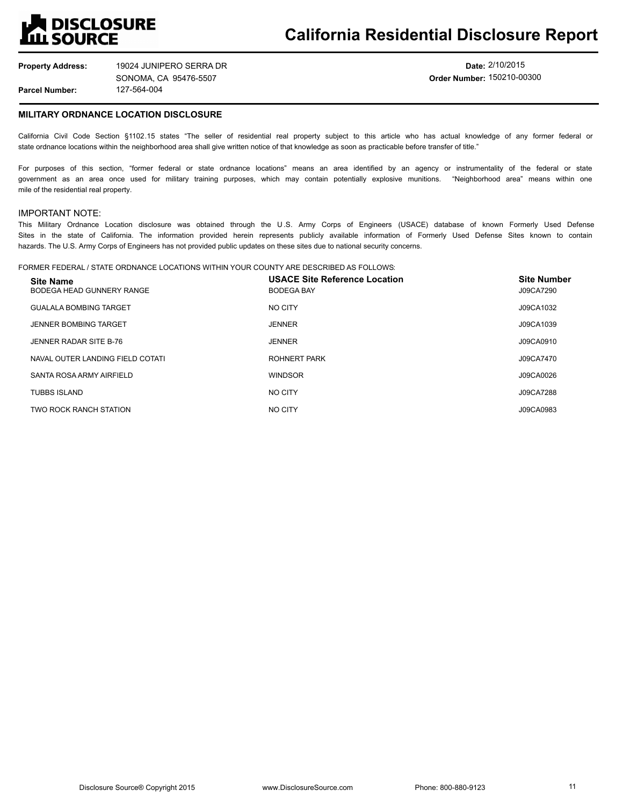# **A DISCLOSURE<br>LL SOURCE**

# **California Residential Disclosure Report**

**Property Address: Parcel Number:** 127-564-004 19024 JUNIPERO SERRA DR SONOMA, CA 95476-5507

**Date:** 2/10/2015 **Order Number:** 150210-00300

## **MILITARY ORDNANCE LOCATION DISCLOSURE**

California Civil Code Section §1102.15 states "The seller of residential real property subject to this article who has actual knowledge of any former federal or state ordnance locations within the neighborhood area shall give written notice of that knowledge as soon as practicable before transfer of title."

For purposes of this section, "former federal or state ordnance locations" means an area identified by an agency or instrumentality of the federal or state government as an area once used for military training purposes, which may contain potentially explosive munitions. "Neighborhood area" means within one mile of the residential real property.

## IMPORTANT NOTE:

This Military Ordnance Location disclosure was obtained through the U .S. Army Corps of Engineers (USACE) database of known Formerly Used Defense Sites in the state of California. The information provided herein represents publicly available information of Formerly Used Defense Sites known to contain hazards. The U.S. Army Corps of Engineers has not provided public updates on these sites due to national security concerns.

#### FORMER FEDERAL / STATE ORDNANCE LOCATIONS WITHIN YOUR COUNTY ARE DESCRIBED AS FOLLOWS:

| <b>Site Name</b><br>BODEGA HEAD GUNNERY RANGE | <b>USACE Site Reference Location</b><br><b>BODEGA BAY</b> | <b>Site Number</b><br>J09CA7290 |
|-----------------------------------------------|-----------------------------------------------------------|---------------------------------|
| <b>GUALALA BOMBING TARGET</b>                 | NO CITY                                                   | J09CA1032                       |
| <b>JENNER BOMBING TARGET</b>                  | <b>JENNER</b>                                             | J09CA1039                       |
| JENNER RADAR SITE B-76                        | <b>JENNER</b>                                             | J09CA0910                       |
| NAVAL OUTER LANDING FIELD COTATI              | <b>ROHNERT PARK</b>                                       | J09CA7470                       |
| SANTA ROSA ARMY AIRFIELD                      | <b>WINDSOR</b>                                            | J09CA0026                       |
| <b>TUBBS ISLAND</b>                           | NO CITY                                                   | J09CA7288                       |
| TWO ROCK RANCH STATION                        | NO CITY                                                   | J09CA0983                       |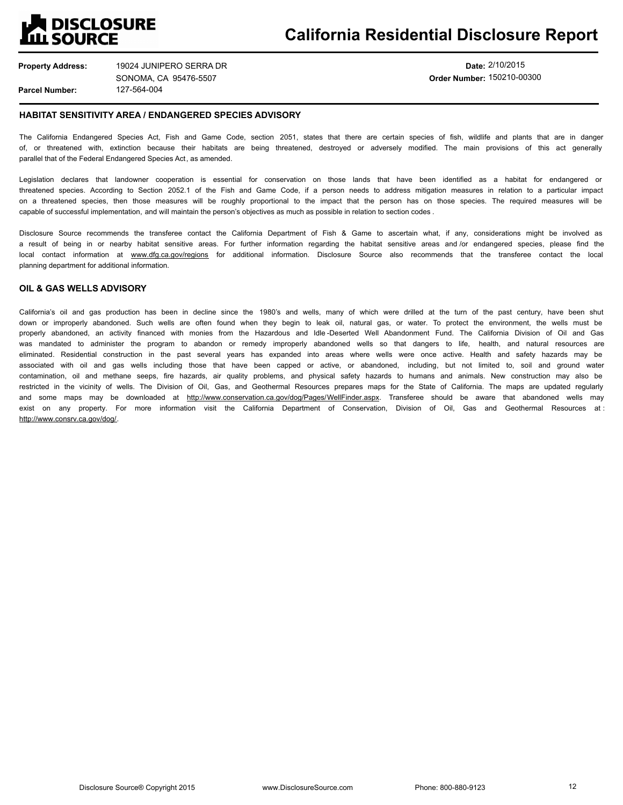## **DISCLOSURE ILL SOURCE**

# **California Residential Disclosure Report**

**Property Address: Parcel Number:** 127-564-004 19024 JUNIPERO SERRA DR SONOMA, CA 95476-5507

## **Date:** 2/10/2015 **Order Number:** 150210-00300

## **HABITAT SENSITIVITY AREA / ENDANGERED SPECIES ADVISORY**

The California Endangered Species Act, Fish and Game Code, section 2051, states that there are certain species of fish, wildlife and plants that are in danger of, or threatened with, extinction because their habitats are being threatened, destroyed or adversely modified. The main provisions of this act generally parallel that of the Federal Endangered Species Act, as amended.

Legislation declares that landowner cooperation is essential for conservation on those lands that have been identified as a habitat for endangered or threatened species. According to Section 2052.1 of the Fish and Game Code, if a person needs to address mitigation measures in relation to a particular impact on a threatened species, then those measures will be roughly proportional to the impact that the person has on those species. The required measures will be capable of successful implementation, and will maintain the person's objectives as much as possible in relation to section codes .

Disclosure Source recommends the transferee contact the California Department of Fish & Game to ascertain what, if any, considerations might be involved as a result of being in or nearby habitat sensitive areas. For further information regarding the habitat sensitive areas and /or endangered species, please find the local contact information at www.dfg.ca.gov/regions for additional information. Disclosure Source also recommends that the transferee contact the local planning department for additional information.

## **OIL & GAS WELLS ADVISORY**

California's oil and gas production has been in decline since the 1980's and wells, many of which were drilled at the turn of the past century, have been shut down or improperly abandoned. Such wells are often found when they begin to leak oil, natural gas, or water. To protect the environment, the wells must be properly abandoned, an activity financed with monies from the Hazardous and Idle-Deserted Well Abandonment Fund. The California Division of Oil and Gas was mandated to administer the program to abandon or remedy improperly abandoned wells so that dangers to life, health, and natural resources are eliminated. Residential construction in the past several years has expanded into areas where wells were once active. Health and safety hazards may be associated with oil and gas wells including those that have been capped or active, or abandoned, including, but not limited to, soil and ground water contamination, oil and methane seeps, fire hazards, air quality problems, and physical safety hazards to humans and animals. New construction may also be restricted in the vicinity of wells. The Division of Oil, Gas, and Geothermal Resources prepares maps for the State of California. The maps are updated regularly and some maps may be downloaded at http://www.conservation.ca.gov/dog/Pages/WellFinder.aspx. Transferee should be aware that abandoned wells may exist on any property. For more information visit the California Department of Conservation, Division of Oil, Gas and Geothermal Resources at : http://www.consrv.ca.gov/dog/.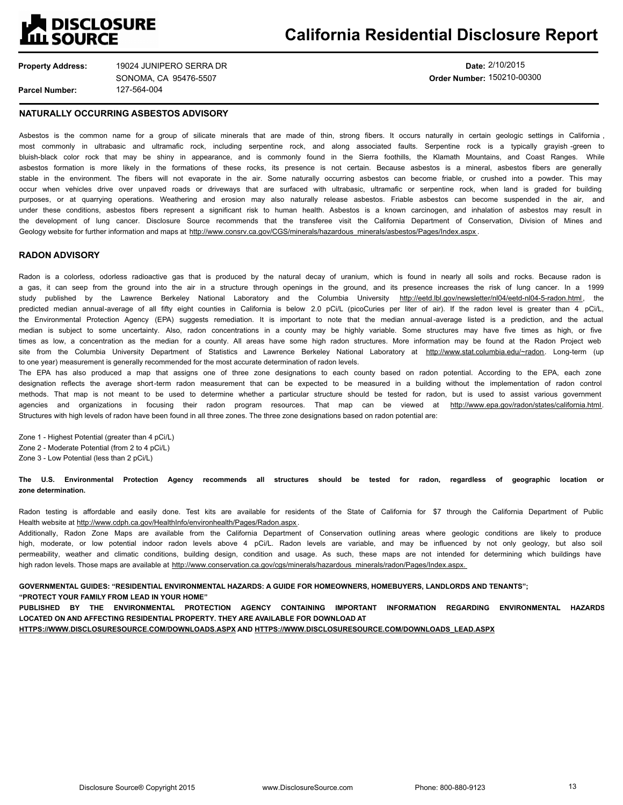# **A DISCLOSURE<br>LLL SOURCE**

# **California Residential Disclosure Report**

**Property Address:**

**Parcel Number:**

127-564-004 19024 JUNIPERO SERRA DR SONOMA, CA 95476-5507

**Date:** 2/10/2015 **Order Number:** 150210-00300

### **NATURALLY OCCURRING ASBESTOS ADVISORY**

Asbestos is the common name for a group of silicate minerals that are made of thin, strong fibers. It occurs naturally in certain geologic settings in California, most commonly in ultrabasic and ultramafic rock, including serpentine rock, and along associated faults. Serpentine rock is a typically grayish -green to bluish-black color rock that may be shiny in appearance, and is commonly found in the Sierra foothills, the Klamath Mountains, and Coast Ranges. While asbestos formation is more likely in the formations of these rocks, its presence is not certain. Because asbestos is a mineral, asbestos fibers are generally stable in the environment. The fibers will not evaporate in the air. Some naturally occurring asbestos can become friable, or crushed into a powder. This may occur when vehicles drive over unpaved roads or driveways that are surfaced with ultrabasic, ultramafic or serpentine rock, when land is graded for building purposes, or at quarrying operations. Weathering and erosion may also naturally release asbestos. Friable asbestos can become suspended in the air, and under these conditions, asbestos fibers represent a significant risk to human health. Asbestos is a known carcinogen, and inhalation of asbestos may result in the development of lung cancer. Disclosure Source recommends that the transferee visit the California Department of Conservation, Division of Mines and Geology website for further information and maps at http://www.consrv.ca.gov/CGS/minerals/hazardous\_minerals/asbestos/Pages/Index.aspx .

## **RADON ADVISORY**

Radon is a colorless, odorless radioactive gas that is produced by the natural decay of uranium, which is found in nearly all soils and rocks. Because radon is a gas, it can seep from the ground into the air in a structure through openings in the ground, and its presence increases the risk of lung cancer. In a 1999 study published by the Lawrence Berkeley National Laboratory and the Columbia University http://eetd.lbl.gov/newsletter/nl04/eetd-nl04-5-radon.html, the predicted median annual-average of all fifty eight counties in California is below 2.0 pCi/L (picoCuries per liter of air). If the radon level is greater than 4 pCi/L, the Environmental Protection Agency (EPA) suggests remediation. It is important to note that the median annual-average listed is a prediction, and the actual median is subject to some uncertainty. Also, radon concentrations in a county may be highly variable. Some structures may have five times as high, or five times as low, a concentration as the median for a county. All areas have some high radon structures. More information may be found at the Radon Project web site from the Columbia University Department of Statistics and Lawrence Berkeley National Laboratory at http://www.stat.columbia.edu/~radon. Long-term (up to one year) measurement is generally recommended for the most accurate determination of radon levels.

The EPA has also produced a map that assigns one of three zone designations to each county based on radon potential. According to the EPA, each zone designation reflects the average short-term radon measurement that can be expected to be measured in a building without the implementation of radon control methods. That map is not meant to be used to determine whether a particular structure should be tested for radon, but is used to assist various government agencies and organizations in focusing their radon program resources. That map can be viewed at http://www.epa.gov/radon/states/california.html. Structures with high levels of radon have been found in all three zones. The three zone designations based on radon potential are:

Zone 1 - Highest Potential (greater than 4 pCi/L) Zone 2 - Moderate Potential (from 2 to 4 pCi/L)

Zone 3 - Low Potential (less than 2 pCi/L)

**The U.S. Environmental Protection Agency recommends all structures should be tested for radon, regardless of geographic location or zone determination.**

Radon testing is affordable and easily done. Test kits are available for residents of the State of California for \$7 through the California Department of Public Health website at http://www.cdph.ca.gov/HealthInfo/environhealth/Pages/Radon.aspx.

Additionally, Radon Zone Maps are available from the California Department of Conservation outlining areas where geologic conditions are likely to produce high, moderate, or low potential indoor radon levels above 4 pCi/L. Radon levels are variable, and may be influenced by not only geology, but also soil permeability, weather and climatic conditions, building design, condition and usage. As such, these maps are not intended for determining which buildings have high radon levels. Those maps are available at http://www.conservation.ca.gov/cgs/minerals/hazardous\_minerals/radon/Pages/Index.aspx.

**GOVERNMENTAL GUIDES: "RESIDENTIAL ENVIRONMENTAL HAZARDS: A GUIDE FOR HOMEOWNERS, HOMEBUYERS, LANDLORDS AND TENANTS"; "PROTECT YOUR FAMILY FROM LEAD IN YOUR HOME"**

**PUBLISHED BY THE ENVIRONMENTAL PROTECTION AGENCY CONTAINING IMPORTANT INFORMATION REGARDING ENVIRONMENTAL HAZARDS LOCATED ON AND AFFECTING RESIDENTIAL PROPERTY. THEY ARE AVAILABLE FOR DOWNLOAD AT**

**HTTPS://WWW.DISCLOSURESOURCE.COM/DOWNLOADS.ASPX AND HTTPS://WWW.DISCLOSURESOURCE.COM/DOWNLOADS\_LEAD.ASPX**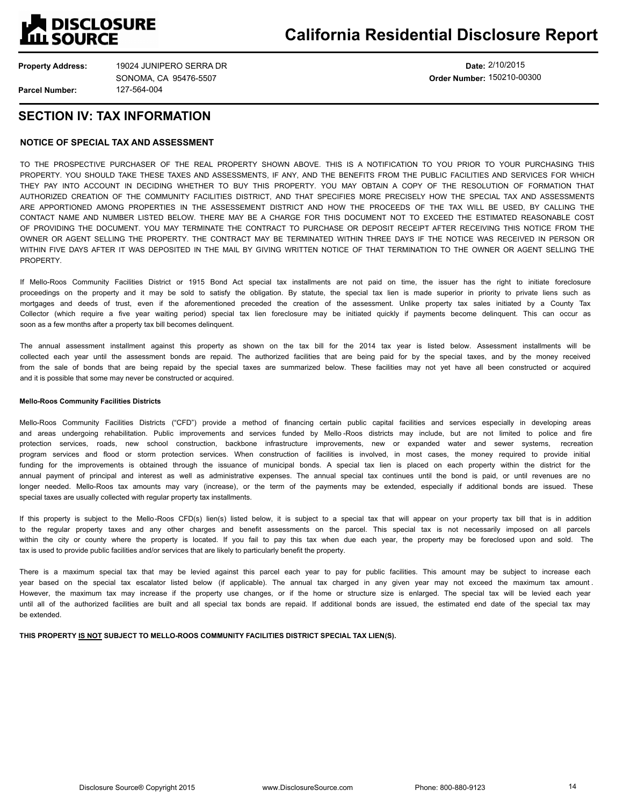

**Date:** 2/10/2015 **Order Number:** 150210-00300

## **SECTION IV: TAX INFORMATION**

## **NOTICE OF SPECIAL TAX AND ASSESSMENT**

TO THE PROSPECTIVE PURCHASER OF THE REAL PROPERTY SHOWN ABOVE. THIS IS A NOTIFICATION TO YOU PRIOR TO YOUR PURCHASING THIS PROPERTY. YOU SHOULD TAKE THESE TAXES AND ASSESSMENTS, IF ANY, AND THE BENEFITS FROM THE PUBLIC FACILITIES AND SERVICES FOR WHICH THEY PAY INTO ACCOUNT IN DECIDING WHETHER TO BUY THIS PROPERTY. YOU MAY OBTAIN A COPY OF THE RESOLUTION OF FORMATION THAT AUTHORIZED CREATION OF THE COMMUNITY FACILITIES DISTRICT, AND THAT SPECIFIES MORE PRECISELY HOW THE SPECIAL TAX AND ASSESSMENTS ARE APPORTIONED AMONG PROPERTIES IN THE ASSESSEMENT DISTRICT AND HOW THE PROCEEDS OF THE TAX WILL BE USED, BY CALLING THE CONTACT NAME AND NUMBER LISTED BELOW. THERE MAY BE A CHARGE FOR THIS DOCUMENT NOT TO EXCEED THE ESTIMATED REASONABLE COST OF PROVIDING THE DOCUMENT. YOU MAY TERMINATE THE CONTRACT TO PURCHASE OR DEPOSIT RECEIPT AFTER RECEIVING THIS NOTICE FROM THE OWNER OR AGENT SELLING THE PROPERTY. THE CONTRACT MAY BE TERMINATED WITHIN THREE DAYS IF THE NOTICE WAS RECEIVED IN PERSON OR WITHIN FIVE DAYS AFTER IT WAS DEPOSITED IN THE MAIL BY GIVING WRITTEN NOTICE OF THAT TERMINATION TO THE OWNER OR AGENT SELLING THE **PROPERTY** 

If Mello-Roos Community Facilities District or 1915 Bond Act special tax installments are not paid on time, the issuer has the right to initiate foreclosure proceedings on the property and it may be sold to satisfy the obligation. By statute, the special tax lien is made superior in priority to private liens such as mortgages and deeds of trust, even if the aforementioned preceded the creation of the assessment. Unlike property tax sales initiated by a County Tax Collector (which require a five year waiting period) special tax lien foreclosure may be initiated quickly if payments become delinquent. This can occur as soon as a few months after a property tax bill becomes delinquent.

The annual assessment installment against this property as shown on the tax bill for the 2014 tax year is listed below. Assessment installments will be collected each year until the assessment bonds are repaid. The authorized facilities that are being paid for by the special taxes, and by the money received from the sale of bonds that are being repaid by the special taxes are summarized below. These facilities may not yet have all been constructed or acquired and it is possible that some may never be constructed or acquired.

## **Mello-Roos Community Facilities Districts**

Mello-Roos Community Facilities Districts ("CFD") provide a method of financing certain public capital facilities and services especially in developing areas and areas undergoing rehabilitation. Public improvements and services funded by Mello -Roos districts may include, but are not limited to police and fire protection services, roads, new school construction, backbone infrastructure improvements, new or expanded water and sewer systems, recreation program services and flood or storm protection services. When construction of facilities is involved, in most cases, the money required to provide initial funding for the improvements is obtained through the issuance of municipal bonds. A special tax lien is placed on each property within the district for the annual payment of principal and interest as well as administrative expenses. The annual special tax continues until the bond is paid, or until revenues are no longer needed. Mello-Roos tax amounts may vary (increase), or the term of the payments may be extended, especially if additional bonds are issued. These special taxes are usually collected with regular property tax installments.

If this property is subject to the Mello-Roos CFD(s) lien(s) listed below, it is subject to a special tax that will appear on your property tax bill that is in addition to the regular property taxes and any other charges and benefit assessments on the parcel. This special tax is not necessarily imposed on all parcels within the city or county where the property is located. If you fail to pay this tax when due each year, the property may be foreclosed upon and sold. The tax is used to provide public facilities and/or services that are likely to particularly benefit the property.

There is a maximum special tax that may be levied against this parcel each year to pay for public facilities. This amount may be subject to increase each year based on the special tax escalator listed below (if applicable). The annual tax charged in any given year may not exceed the maximum tax amount. However, the maximum tax may increase if the property use changes, or if the home or structure size is enlarged. The special tax will be levied each year until all of the authorized facilities are built and all special tax bonds are repaid. If additional bonds are issued, the estimated end date of the special tax may be extended.

**THIS PROPERTY IS NOT SUBJECT TO MELLO-ROOS COMMUNITY FACILITIES DISTRICT SPECIAL TAX LIEN(S).**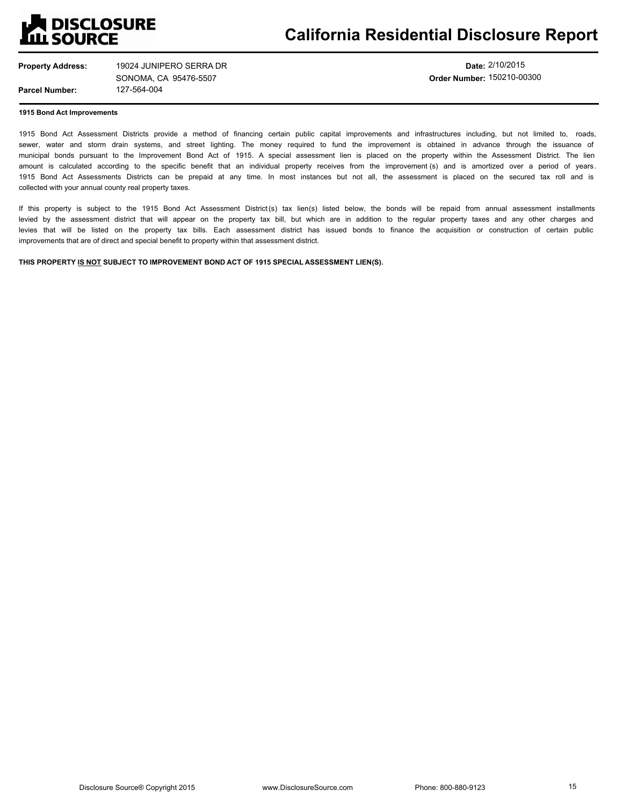

**Property Address:**

127-564-004 19024 JUNIPERO SERRA DR SONOMA, CA 95476-5507

**Date:** 2/10/2015 **Order Number:** 150210-00300

**1915 Bond Act Improvements**

**Parcel Number:**

1915 Bond Act Assessment Districts provide a method of financing certain public capital improvements and infrastructures including, but not limited to, roads, sewer, water and storm drain systems, and street lighting. The money required to fund the improvement is obtained in advance through the issuance of municipal bonds pursuant to the Improvement Bond Act of 1915. A special assessment lien is placed on the property within the Assessment District. The lien amount is calculated according to the specific benefit that an individual property receives from the improvement (s) and is amortized over a period of years. 1915 Bond Act Assessments Districts can be prepaid at any time. In most instances but not all, the assessment is placed on the secured tax roll and is collected with your annual county real property taxes.

If this property is subject to the 1915 Bond Act Assessment District(s) tax lien(s) listed below, the bonds will be repaid from annual assessment installments levied by the assessment district that will appear on the property tax bill, but which are in addition to the regular property taxes and any other charges and levies that will be listed on the property tax bills. Each assessment district has issued bonds to finance the acquisition or construction of certain public improvements that are of direct and special benefit to property within that assessment district.

**THIS PROPERTY IS NOT SUBJECT TO IMPROVEMENT BOND ACT OF 1915 SPECIAL ASSESSMENT LIEN(S).**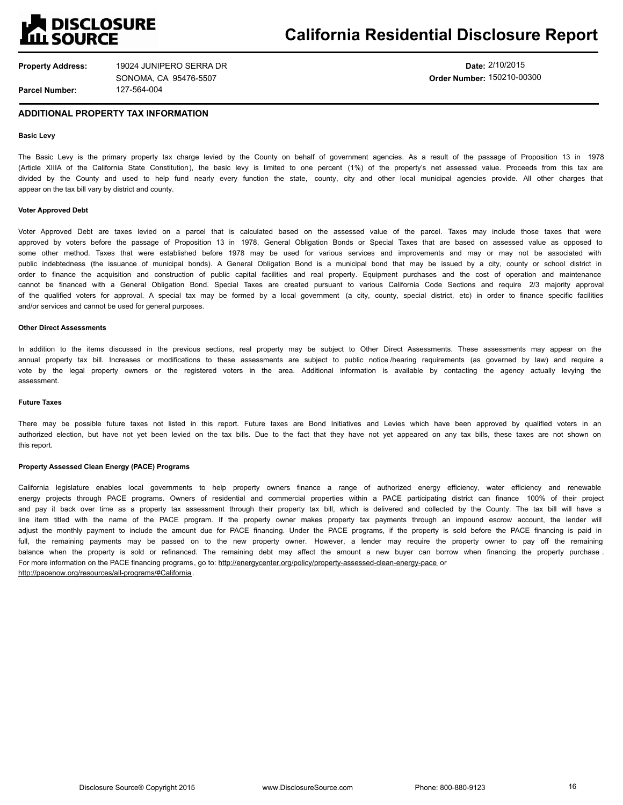

**Date:** 2/10/2015 **Order Number:** 150210-00300

### **ADDITIONAL PROPERTY TAX INFORMATION**

#### **Basic Levy**

The Basic Levy is the primary property tax charge levied by the County on behalf of government agencies. As a result of the passage of Proposition 13 in 1978 (Article XIIIA of the California State Constitution), the basic levy is limited to one percent (1%) of the property's net assessed value. Proceeds from this tax are divided by the County and used to help fund nearly every function the state, county, city and other local municipal agencies provide. All other charges that appear on the tax bill vary by district and county.

#### **Voter Approved Debt**

Voter Approved Debt are taxes levied on a parcel that is calculated based on the assessed value of the parcel. Taxes may include those taxes that were approved by voters before the passage of Proposition 13 in 1978, General Obligation Bonds or Special Taxes that are based on assessed value as opposed to some other method. Taxes that were established before 1978 may be used for various services and improvements and may or may not be associated with public indebtedness (the issuance of municipal bonds). A General Obligation Bond is a municipal bond that may be issued by a city, county or school district in order to finance the acquisition and construction of public capital facilities and real property. Equipment purchases and the cost of operation and maintenance cannot be financed with a General Obligation Bond. Special Taxes are created pursuant to various California Code Sections and require 2/3 majority approval of the qualified voters for approval. A special tax may be formed by a local government (a city, county, special district, etc) in order to finance specific facilities and/or services and cannot be used for general purposes.

#### **Other Direct Assessments**

In addition to the items discussed in the previous sections, real property may be subject to Other Direct Assessments. These assessments may appear on the annual property tax bill. Increases or modifications to these assessments are subject to public notice /hearing requirements (as governed by law) and require a vote by the legal property owners or the registered voters in the area. Additional information is available by contacting the agency actually levying the assessment.

### **Future Taxes**

There may be possible future taxes not listed in this report. Future taxes are Bond Initiatives and Levies which have been approved by qualified voters in an authorized election, but have not yet been levied on the tax bills. Due to the fact that they have not yet appeared on any tax bills, these taxes are not shown on this report.

#### **Property Assessed Clean Energy (PACE) Programs**

California legislature enables local governments to help property owners finance a range of authorized energy efficiency, water efficiency and renewable energy projects through PACE programs. Owners of residential and commercial properties within a PACE participating district can finance 100% of their project and pay it back over time as a property tax assessment through their property tax bill, which is delivered and collected by the County. The tax bill will have a line item titled with the name of the PACE program. If the property owner makes property tax payments through an impound escrow account, the lender will adjust the monthly payment to include the amount due for PACE financing. Under the PACE programs, if the property is sold before the PACE financing is paid in full, the remaining payments may be passed on to the new property owner. However, a lender may require the property owner to pay off the remaining balance when the property is sold or refinanced. The remaining debt may affect the amount a new buyer can borrow when financing the property purchase. For more information on the PACE financing programs, go to: http://energycenter.org/policy/property-assessed-clean-energy-pace or http://pacenow.org/resources/all-programs/#California.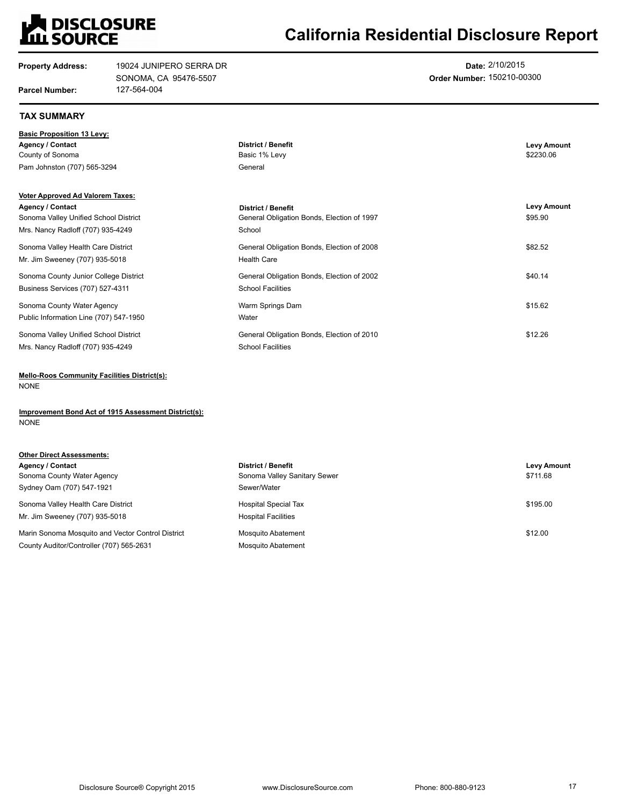

# **California Residential Disclosure Report**

| <b>Property Address:</b>                | 19024 JUNIPERO SERRA DR<br>SONOMA, CA 95476-5507 |                                            | Date: 2/10/2015<br>Order Number: 150210-00300 |  |
|-----------------------------------------|--------------------------------------------------|--------------------------------------------|-----------------------------------------------|--|
| <b>Parcel Number:</b>                   | 127-564-004                                      |                                            |                                               |  |
| <b>TAX SUMMARY</b>                      |                                                  |                                            |                                               |  |
| <b>Basic Proposition 13 Levy:</b>       |                                                  |                                            |                                               |  |
| <b>Agency / Contact</b>                 |                                                  | <b>District / Benefit</b>                  | <b>Levy Amount</b>                            |  |
| County of Sonoma                        |                                                  | Basic 1% Levy                              | \$2230.06                                     |  |
| Pam Johnston (707) 565-3294             |                                                  | General                                    |                                               |  |
| <b>Voter Approved Ad Valorem Taxes:</b> |                                                  |                                            |                                               |  |
| <b>Agency / Contact</b>                 |                                                  | <b>District / Benefit</b>                  | <b>Levy Amount</b>                            |  |
| Sonoma Valley Unified School District   |                                                  | General Obligation Bonds, Election of 1997 | \$95.90                                       |  |
| Mrs. Nancy Radloff (707) 935-4249       |                                                  | School                                     |                                               |  |
| Sonoma Valley Health Care District      |                                                  | General Obligation Bonds, Election of 2008 | \$82.52                                       |  |
| Mr. Jim Sweeney (707) 935-5018          |                                                  | <b>Health Care</b>                         |                                               |  |
| Sonoma County Junior College District   |                                                  | General Obligation Bonds, Election of 2002 | \$40.14                                       |  |
| Business Services (707) 527-4311        |                                                  | <b>School Facilities</b>                   |                                               |  |
| Sonoma County Water Agency              |                                                  | Warm Springs Dam                           | \$15.62                                       |  |
| Public Information Line (707) 547-1950  |                                                  | Water                                      |                                               |  |
| Sonoma Valley Unified School District   |                                                  | General Obligation Bonds, Election of 2010 | \$12.26                                       |  |
| Mrs. Nancy Radloff (707) 935-4249       |                                                  | <b>School Facilities</b>                   |                                               |  |

**Mello-Roos Community Facilities District(s):** NONE

**Improvement Bond Act of 1915 Assessment District(s):** NONE

| <b>Other Direct Assessments:</b>                  |                              |                    |
|---------------------------------------------------|------------------------------|--------------------|
| Agency / Contact                                  | <b>District / Benefit</b>    | <b>Levy Amount</b> |
| Sonoma County Water Agency                        | Sonoma Valley Sanitary Sewer | \$711.68           |
| Sydney Oam (707) 547-1921                         | Sewer/Water                  |                    |
| Sonoma Valley Health Care District                | <b>Hospital Special Tax</b>  | \$195.00           |
| Mr. Jim Sweeney (707) 935-5018                    | <b>Hospital Facilities</b>   |                    |
| Marin Sonoma Mosquito and Vector Control District | <b>Mosquito Abatement</b>    | \$12.00            |
| County Auditor/Controller (707) 565-2631          | Mosquito Abatement           |                    |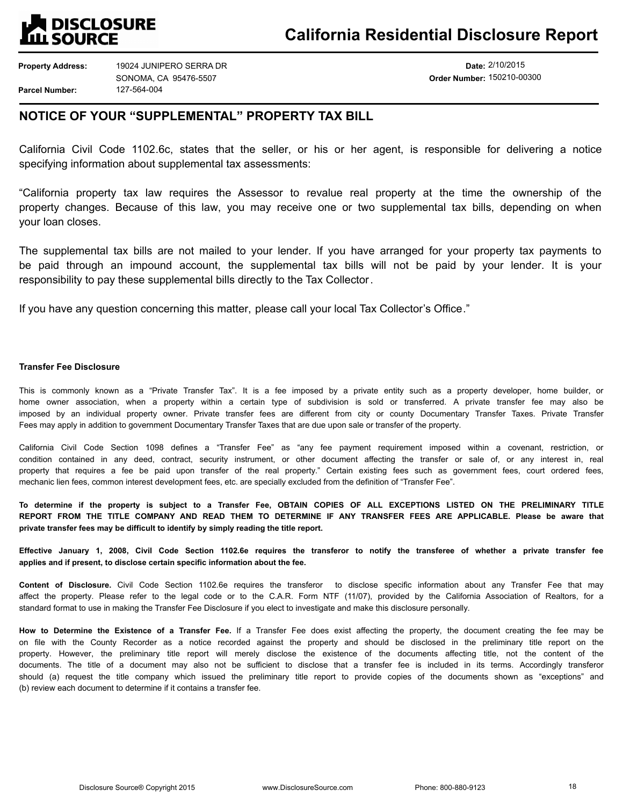

**Date:** 2/10/2015 **Order Number:** 150210-00300

## **NOTICE OF YOUR "SUPPLEMENTAL" PROPERTY TAX BILL**

California Civil Code 1102.6c, states that the seller, or his or her agent, is responsible for delivering a notice specifying information about supplemental tax assessments:

"California property tax law requires the Assessor to revalue real property at the time the ownership of the property changes. Because of this law, you may receive one or two supplemental tax bills, depending on when your loan closes.

The supplemental tax bills are not mailed to your lender. If you have arranged for your property tax payments to be paid through an impound account, the supplemental tax bills will not be paid by your lender. It is your responsibility to pay these supplemental bills directly to the Tax Collector.

If you have any question concerning this matter, please call your local Tax Collector's Office."

## **Transfer Fee Disclosure**

This is commonly known as a "Private Transfer Tax". It is a fee imposed by a private entity such as a property developer, home builder, or home owner association, when a property within a certain type of subdivision is sold or transferred. A private transfer fee may also be imposed by an individual property owner. Private transfer fees are different from city or county Documentary Transfer Taxes. Private Transfer Fees may apply in addition to government Documentary Transfer Taxes that are due upon sale or transfer of the property.

California Civil Code Section 1098 defines a "Transfer Fee" as "any fee payment requirement imposed within a covenant, restriction, or condition contained in any deed, contract, security instrument, or other document affecting the transfer or sale of, or any interest in, real property that requires a fee be paid upon transfer of the real property." Certain existing fees such as government fees, court ordered fees, mechanic lien fees, common interest development fees, etc. are specially excluded from the definition of "Transfer Fee".

**To determine if the property is subject to a Transfer Fee, OBTAIN COPIES OF ALL EXCEPTIONS LISTED ON THE PRELIMINARY TITLE REPORT FROM THE TITLE COMPANY AND READ THEM TO DETERMINE IF ANY TRANSFER FEES ARE APPLICABLE. Please be aware that private transfer fees may be difficult to identify by simply reading the title report.** 

**Effective January 1, 2008, Civil Code Section 1102.6e requires the transferor to notify the transferee of whether a private transfer fee applies and if present, to disclose certain specific information about the fee.**

**Content of Disclosure.** Civil Code Section 1102.6e requires the transferor to disclose specific information about any Transfer Fee that may affect the property. Please refer to the legal code or to the C.A.R. Form NTF (11/07), provided by the California Association of Realtors, for a standard format to use in making the Transfer Fee Disclosure if you elect to investigate and make this disclosure personally.

**How to Determine the Existence of a Transfer Fee.** If a Transfer Fee does exist affecting the property, the document creating the fee may be on file with the County Recorder as a notice recorded against the property and should be disclosed in the preliminary title report on the property. However, the preliminary title report will merely disclose the existence of the documents affecting title, not the content of the documents. The title of a document may also not be sufficient to disclose that a transfer fee is included in its terms. Accordingly transferor should (a) request the title company which issued the preliminary title report to provide copies of the documents shown as "exceptions" and (b) review each document to determine if it contains a transfer fee.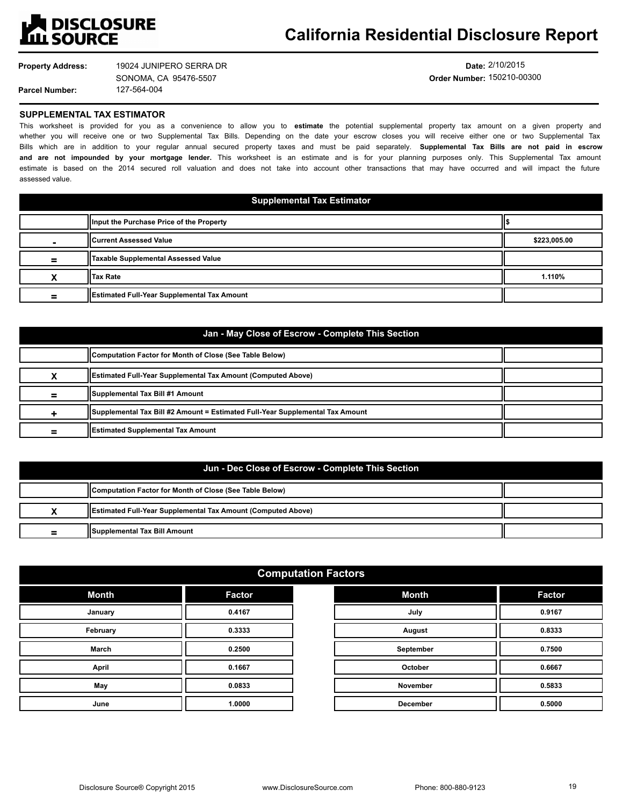

**Property Address:** 19024 JUNIPERO SERRA DR SONOMA, CA 95476-5507

127-564-004

**Date:** 2/10/2015 **Order Number:** 150210-00300

## **SUPPLEMENTAL TAX ESTIMATOR**

**Parcel Number:**

This worksheet is provided for you as a convenience to allow you to **estimate** the potential supplemental property tax amount on a given property and whether you will receive one or two Supplemental Tax Bills. Depending on the date your escrow closes you will receive either one or two Supplemental Tax Bills which are in addition to your regular annual secured property taxes and must be paid separately. **Supplemental Tax Bills are not paid in escrow and are not impounded by your mortgage lender.** This worksheet is an estimate and is for your planning purposes only. This Supplemental Tax amount estimate is based on the 2014 secured roll valuation and does not take into account other transactions that may have occurred and will impact the future assessed value.

| <b>Supplemental Tax Estimator</b> |                                             |              |
|-----------------------------------|---------------------------------------------|--------------|
|                                   | Illnput the Purchase Price of the Property  |              |
|                                   | <b>Il Current Assessed Value</b>            | \$223,005.00 |
| =                                 | <b>Taxable Supplemental Assessed Value</b>  |              |
|                                   | <b>IITax Rate</b>                           | 1.110%       |
| =                                 | Estimated Full-Year Supplemental Tax Amount |              |

## **Jan - May Close of Escrow - Complete This Section**

|   | (Computation Factor for Month of Close (See Table Below)                      |  |
|---|-------------------------------------------------------------------------------|--|
|   | <b>IEstimated Full-Year Supplemental Tax Amount (Computed Above)</b>          |  |
| = | Supplemental Tax Bill #1 Amount                                               |  |
|   | Supplemental Tax Bill #2 Amount = Estimated Full-Year Supplemental Tax Amount |  |
|   | <b>Estimated Supplemental Tax Amount</b>                                      |  |

## **Jun - Dec Close of Escrow - Complete This Section**

|        | Computation Factor for Month of Close (See Table Below)              |  |
|--------|----------------------------------------------------------------------|--|
|        | <b>IEstimated Full-Year Supplemental Tax Amount (Computed Above)</b> |  |
| -<br>- | Supplemental Tax Bill Amount                                         |  |

## **Computation Factors**

| <b>Month</b> | <b>Factor</b> |
|--------------|---------------|
| January      | 0.4167        |
| February     | 0.3333        |
| <b>March</b> | 0.2500        |
| <b>April</b> | 0.1667        |
| May          | 0.0833        |
| June         | 1.0000        |

| <b>Month</b>    | <b>Factor</b> |
|-----------------|---------------|
| July            | 0.9167        |
| August          | 0.8333        |
| September       | 0.7500        |
| October         | 0.6667        |
| <b>November</b> | 0.5833        |
| <b>December</b> | 0.5000        |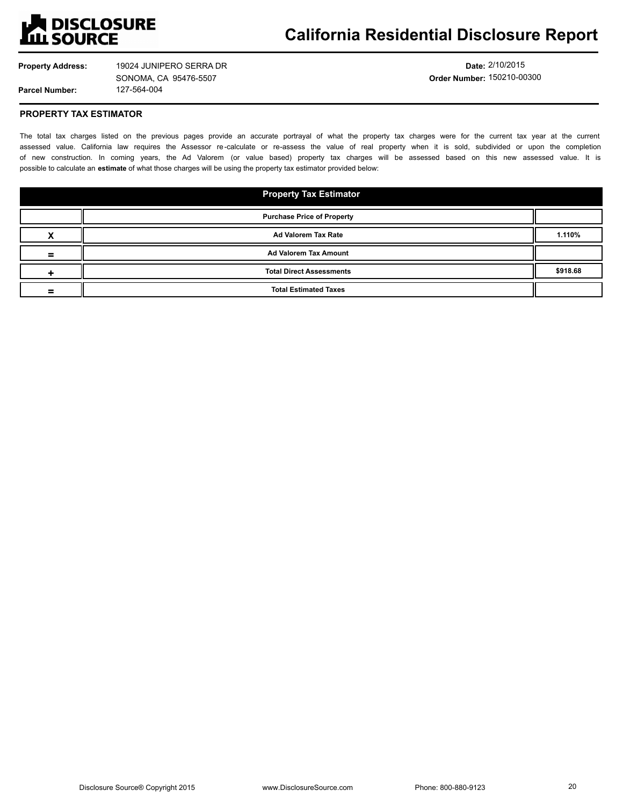

**Property Address:**

**Parcel Number:**

127-564-004 19024 JUNIPERO SERRA DR SONOMA, CA 95476-5507

**Date:** 2/10/2015 **Order Number:** 150210-00300

## **PROPERTY TAX ESTIMATOR**

The total tax charges listed on the previous pages provide an accurate portrayal of what the property tax charges were for the current tax year at the current assessed value. California law requires the Assessor re-calculate or re-assess the value of real property when it is sold, subdivided or upon the completion of new construction. In coming years, the Ad Valorem (or value based) property tax charges will be assessed based on this new assessed value. It is possible to calculate an **estimate** of what those charges will be using the property tax estimator provided below:

| <b>Property Tax Estimator</b>     |          |
|-----------------------------------|----------|
| <b>Purchase Price of Property</b> |          |
| Ad Valorem Tax Rate               | 1.110%   |
| <b>Ad Valorem Tax Amount</b>      |          |
| <b>Total Direct Assessments</b>   | \$918.68 |
| <b>Total Estimated Taxes</b>      |          |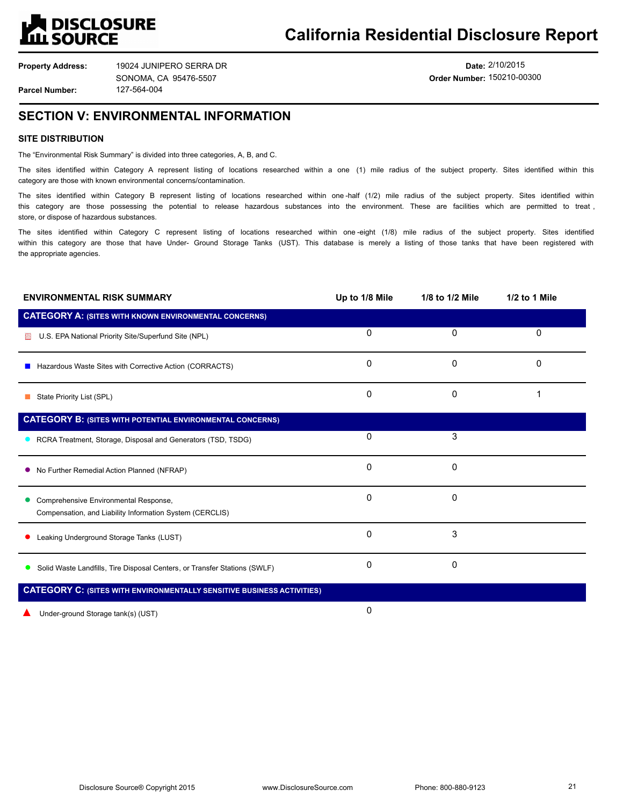

**Property Address:**

127-564-004 19024 JUNIPERO SERRA DR SONOMA, CA 95476-5507

**Date:** 2/10/2015 **Order Number:** 150210-00300

## **SECTION V: ENVIRONMENTAL INFORMATION**

## **SITE DISTRIBUTION**

**Parcel Number:**

The "Environmental Risk Summary" is divided into three categories, A, B, and C.

The sites identified within Category A represent listing of locations researched within a one (1) mile radius of the subject property. Sites identified within this category are those with known environmental concerns/contamination.

The sites identified within Category B represent listing of locations researched within one-half (1/2) mile radius of the subject property. Sites identified within this category are those possessing the potential to release hazardous substances into the environment. These are facilities which are permitted to treat, store, or dispose of hazardous substances.

The sites identified within Category C represent listing of locations researched within one -eight (1/8) mile radius of the subject property. Sites identified within this category are those that have Under- Ground Storage Tanks (UST). This database is merely a listing of those tanks that have been registered with the appropriate agencies.

| <b>ENVIRONMENTAL RISK SUMMARY</b>                                                                 | Up to 1/8 Mile | 1/8 to 1/2 Mile | 1/2 to 1 Mile |
|---------------------------------------------------------------------------------------------------|----------------|-----------------|---------------|
| <b>CATEGORY A: (SITES WITH KNOWN ENVIRONMENTAL CONCERNS)</b>                                      |                |                 |               |
| U.S. EPA National Priority Site/Superfund Site (NPL)                                              | 0              | $\mathbf{0}$    | 0             |
| ■ Hazardous Waste Sites with Corrective Action (CORRACTS)                                         | 0              | 0               | 0             |
| State Priority List (SPL)                                                                         | 0              | $\Omega$        |               |
| <b>CATEGORY B: (SITES WITH POTENTIAL ENVIRONMENTAL CONCERNS)</b>                                  |                |                 |               |
| • RCRA Treatment, Storage, Disposal and Generators (TSD, TSDG)                                    | 0              | 3               |               |
| • No Further Remedial Action Planned (NFRAP)                                                      | 0              | 0               |               |
| Comprehensive Environmental Response,<br>Compensation, and Liability Information System (CERCLIS) | 0              | 0               |               |
| Leaking Underground Storage Tanks (LUST)                                                          | 0              | 3               |               |
| • Solid Waste Landfills, Tire Disposal Centers, or Transfer Stations (SWLF)                       | 0              | 0               |               |
| <b>CATEGORY C: (SITES WITH ENVIRONMENTALLY SENSITIVE BUSINESS ACTIVITIES)</b>                     |                |                 |               |

Under-ground Storage tank(s) (UST)

0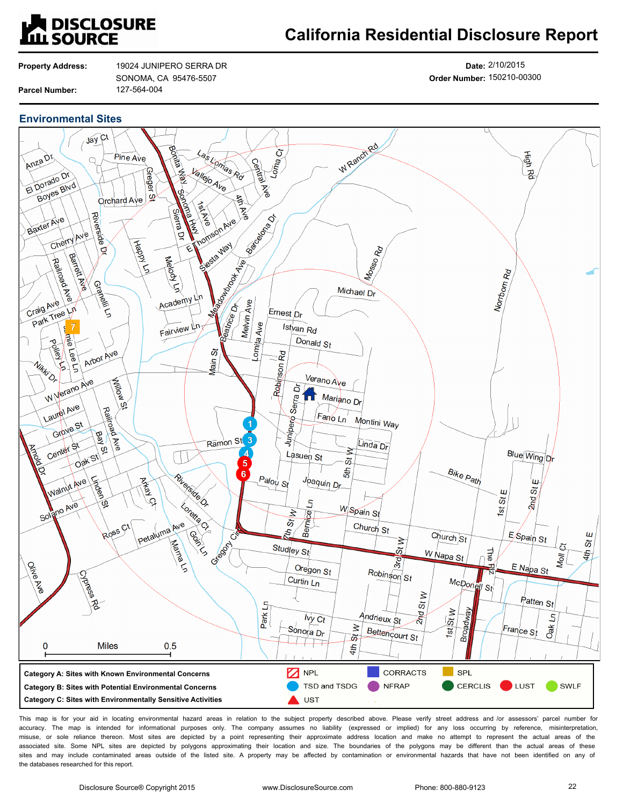

## **California Residential Disclosure Report**

**Property Address: Parcel Number:**

127-564-004 19024 JUNIPERO SERRA DR SONOMA, CA 95476-5507

**Date:** 2/10/2015 **Order Number:** 150210-00300

## **Environmental Sites**



This map is for your aid in locating environmental hazard areas in relation to the subject property described above. Please verify street address and /or assessors' parcel number for accuracy. The map is intended for informational purposes only. The company assumes no liability (expressed or implied) for any loss occurring by reference, misinterpretation, misuse, or sole reliance thereon. Most sites are depicted by a point representing their approximate address location and make no attempt to represent the actual areas of the associated site. Some NPL sites are depicted by polygons approximating their location and size. The boundaries of the polygons may be different than the actual areas of these sites and may include contaminated areas outside of the listed site. A property may be affected by contamination or environmental hazards that have not been identified on any of the databases researched for this report.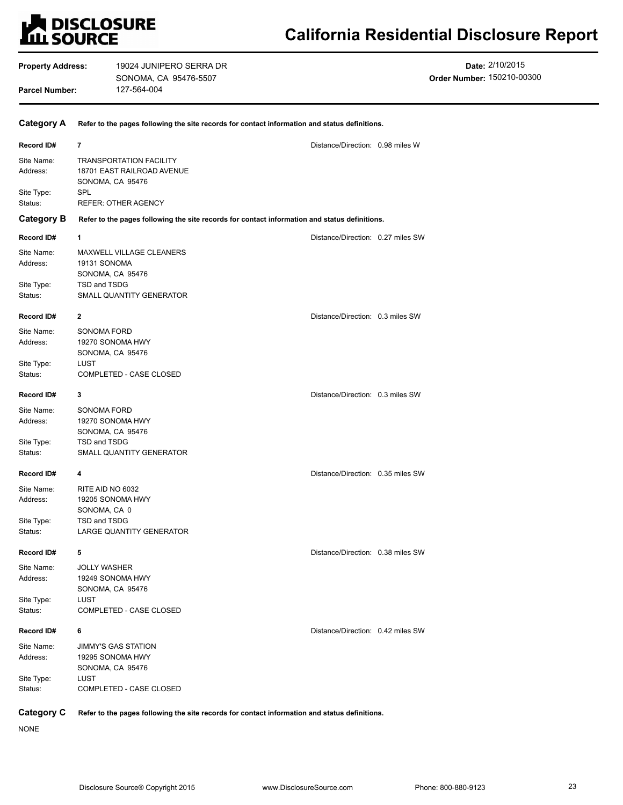# **LA DISCLOSURE<br>LILI SOURCE**

# **California Residential Disclosure Report**

| <b>Property Address:</b><br><b>Parcel Number:</b> |                                                  | 19024 JUNIPERO SERRA DR<br>SONOMA, CA 95476-5507<br>127-564-004                                                |                                   | Date: 2/10/2015<br>Order Number: 150210-00300 |
|---------------------------------------------------|--------------------------------------------------|----------------------------------------------------------------------------------------------------------------|-----------------------------------|-----------------------------------------------|
| <b>Category A</b>                                 |                                                  | Refer to the pages following the site records for contact information and status definitions.                  |                                   |                                               |
| Record ID#                                        | 7                                                |                                                                                                                | Distance/Direction: 0.98 miles W  |                                               |
| Site Name:<br>Address:<br>Site Type:<br>Status:   | SPL                                              | <b>TRANSPORTATION FACILITY</b><br>18701 EAST RAILROAD AVENUE<br>SONOMA, CA 95476<br><b>REFER: OTHER AGENCY</b> |                                   |                                               |
| <b>Category B</b>                                 |                                                  | Refer to the pages following the site records for contact information and status definitions.                  |                                   |                                               |
| Record ID#                                        | 1                                                |                                                                                                                | Distance/Direction: 0.27 miles SW |                                               |
| Site Name:<br>Address:<br>Site Type:<br>Status:   | 19131 SONOMA<br>TSD and TSDG                     | MAXWELL VILLAGE CLEANERS<br>SONOMA, CA 95476<br>SMALL QUANTITY GENERATOR                                       |                                   |                                               |
| Record ID#                                        | $\mathbf{2}$                                     |                                                                                                                | Distance/Direction: 0.3 miles SW  |                                               |
| Site Name:<br>Address:                            | SONOMA FORD                                      | 19270 SONOMA HWY<br>SONOMA, CA 95476                                                                           |                                   |                                               |
| Site Type:<br>Status:                             | <b>LUST</b>                                      | COMPLETED - CASE CLOSED                                                                                        |                                   |                                               |
| Record ID#                                        | 3                                                |                                                                                                                | Distance/Direction: 0.3 miles SW  |                                               |
| Site Name:<br>Address:<br>Site Type:<br>Status:   | SONOMA FORD<br>TSD and TSDG                      | 19270 SONOMA HWY<br>SONOMA, CA 95476<br>SMALL QUANTITY GENERATOR                                               |                                   |                                               |
| Record ID#                                        | 4                                                |                                                                                                                | Distance/Direction: 0.35 miles SW |                                               |
| Site Name:<br>Address:<br>Site Type:<br>Status:   | RITE AID NO 6032<br>SONOMA, CA 0<br>TSD and TSDG | 19205 SONOMA HWY<br>LARGE QUANTITY GENERATOR                                                                   |                                   |                                               |
| Record ID#                                        | 5                                                |                                                                                                                | Distance/Direction: 0.38 miles SW |                                               |
| Site Name:<br>Address:                            | <b>JOLLY WASHER</b>                              | 19249 SONOMA HWY<br>SONOMA, CA 95476                                                                           |                                   |                                               |
| Site Type:<br>Status:                             | LUST                                             | COMPLETED - CASE CLOSED                                                                                        |                                   |                                               |
| Record ID#                                        | 6                                                |                                                                                                                | Distance/Direction: 0.42 miles SW |                                               |
| Site Name:<br>Address:<br>Site Type:              | <b>LUST</b>                                      | JIMMY'S GAS STATION<br>19295 SONOMA HWY<br>SONOMA, CA 95476                                                    |                                   |                                               |
| Status:                                           |                                                  | COMPLETED - CASE CLOSED                                                                                        |                                   |                                               |
| <b>Category C</b>                                 |                                                  | Refer to the pages following the site records for contact information and status definitions.                  |                                   |                                               |

NONE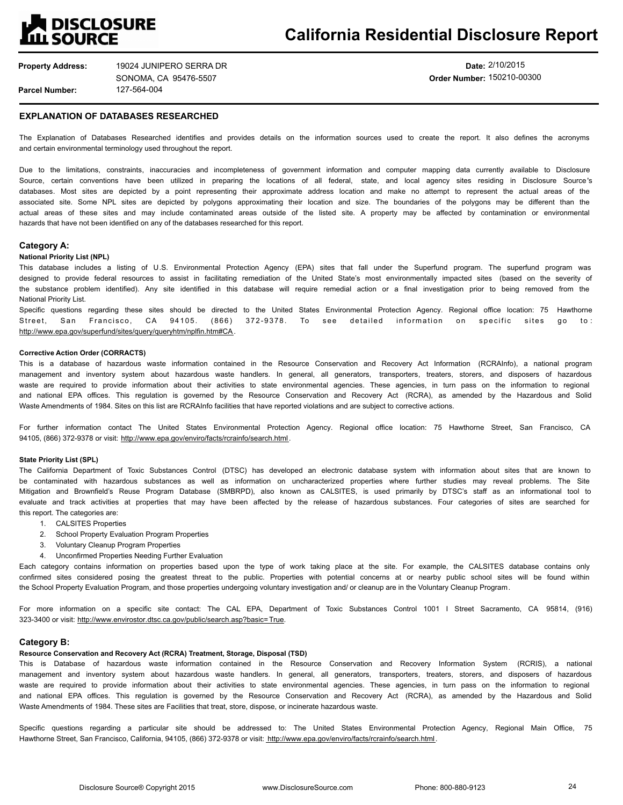# **A DISCLOSURE<br>LLL SOURCE**

# **California Residential Disclosure Report**

**Property Address: Parcel Number:** 127-564-004 19024 JUNIPERO SERRA DR SONOMA, CA 95476-5507

## **Date:** 2/10/2015 **Order Number:** 150210-00300

## **EXPLANATION OF DATABASES RESEARCHED**

The Explanation of Databases Researched identifies and provides details on the information sources used to create the report. It also defines the acronyms and certain environmental terminology used throughout the report.

Due to the limitations, constraints, inaccuracies and incompleteness of government information and computer mapping data currently available to Disclosure Source, certain conventions have been utilized in preparing the locations of all federal, state, and local agency sites residing in Disclosure Source's databases. Most sites are depicted by a point representing their approximate address location and make no attempt to represent the actual areas of the associated site. Some NPL sites are depicted by polygons approximating their location and size. The boundaries of the polygons may be different than the actual areas of these sites and may include contaminated areas outside of the listed site. A property may be affected by contamination or environmental hazards that have not been identified on any of the databases researched for this report.

### **Category A:**

#### **National Priority List (NPL)**

This database includes a listing of U.S. Environmental Protection Agency (EPA) sites that fall under the Superfund program. The superfund program was designed to provide federal resources to assist in facilitating remediation of the United State's most environmentally impacted sites (based on the severity of the substance problem identified). Any site identified in this database will require remedial action or a final investigation prior to being removed from the National Priority List.

Specific questions regarding these sites should be directed to the United States Environmental Protection Agency. Regional office location: 75 Hawthorne Street, San Francisco, CA 94105. (866) 372-9378. To see detailed information on specific sites go to: http://www.epa.gov/superfund/sites/query/queryhtm/nplfin.htm#CA.

#### **Corrective Action Order (CORRACTS)**

This is a database of hazardous waste information contained in the Resource Conservation and Recovery Act Information (RCRAInfo), a national program management and inventory system about hazardous waste handlers. In general, all generators, transporters, treaters, storers, and disposers of hazardous waste are required to provide information about their activities to state environmental agencies. These agencies, in turn pass on the information to regional and national EPA offices. This regulation is governed by the Resource Conservation and Recovery Act (RCRA), as amended by the Hazardous and Solid Waste Amendments of 1984. Sites on this list are RCRAInfo facilities that have reported violations and are subject to corrective actions.

For further information contact The United States Environmental Protection Agency. Regional office location: 75 Hawthorne Street, San Francisco, CA 94105, (866) 372-9378 or visit: http://www.epa.gov/enviro/facts/rcrainfo/search.html.

### **State Priority List (SPL)**

The California Department of Toxic Substances Control (DTSC) has developed an electronic database system with information about sites that are known to be contaminated with hazardous substances as well as information on uncharacterized properties where further studies may reveal problems. The Site Mitigation and Brownfield's Reuse Program Database (SMBRPD), also known as CALSITES, is used primarily by DTSC's staff as an informational tool to evaluate and track activities at properties that may have been affected by the release of hazardous substances. Four categories of sites are searched for this report. The categories are:

- 1. CALSITES Properties
- 2. School Property Evaluation Program Properties
- 3. Voluntary Cleanup Program Properties
- 4. Unconfirmed Properties Needing Further Evaluation

Each category contains information on properties based upon the type of work taking place at the site. For example, the CALSITES database contains only confirmed sites considered posing the greatest threat to the public. Properties with potential concerns at or nearby public school sites will be found within the School Property Evaluation Program, and those properties undergoing voluntary investigation and/ or cleanup are in the Voluntary Cleanup Program.

For more information on a specific site contact: The CAL EPA, Department of Toxic Substances Control 1001 I Street Sacramento, CA 95814, (916) 323-3400 or visit: http://www.envirostor.dtsc.ca.gov/public/search.asp?basic=True.

## **Category B:**

## **Resource Conservation and Recovery Act (RCRA) Treatment, Storage, Disposal (TSD)**

This is Database of hazardous waste information contained in the Resource Conservation and Recovery Information System (RCRIS), a national management and inventory system about hazardous waste handlers. In general, all generators, transporters, treaters, storers, and disposers of hazardous waste are required to provide information about their activities to state environmental agencies. These agencies, in turn pass on the information to regional and national EPA offices. This regulation is governed by the Resource Conservation and Recovery Act (RCRA), as amended by the Hazardous and Solid Waste Amendments of 1984. These sites are Facilities that treat, store, dispose, or incinerate hazardous waste.

Specific questions regarding a particular site should be addressed to: The United States Environmental Protection Agency, Regional Main Office, 75 Hawthorne Street, San Francisco, California, 94105, (866) 372-9378 or visit: http://www.epa.gov/enviro/facts/rcrainfo/search.html.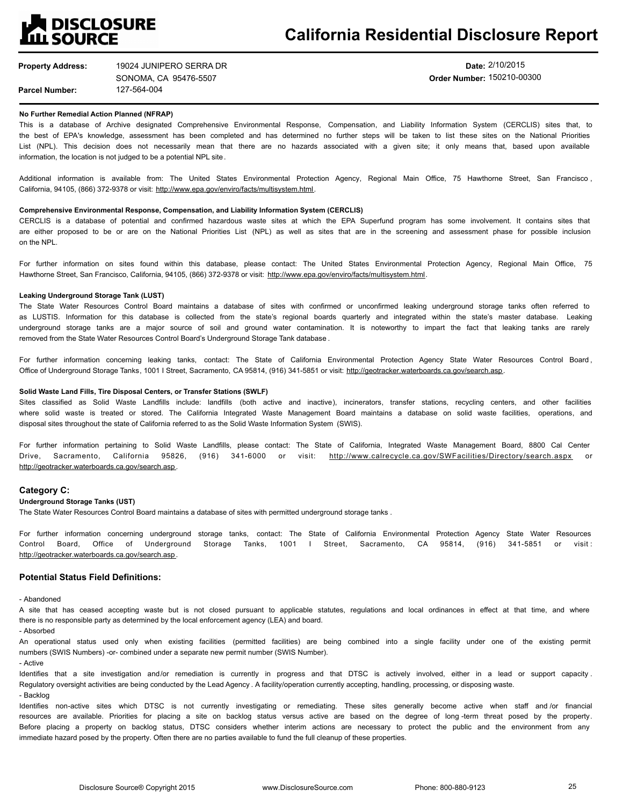

**Date:** 2/10/2015 **Order Number:** 150210-00300

## **No Further Remedial Action Planned (NFRAP)**

This is a database of Archive designated Comprehensive Environmental Response, Compensation, and Liability Information System (CERCLIS) sites that, to the best of EPA's knowledge, assessment has been completed and has determined no further steps will be taken to list these sites on the National Priorities List (NPL). This decision does not necessarily mean that there are no hazards associated with a given site; it only means that, based upon available information, the location is not judged to be a potential NPL site.

Additional information is available from: The United States Environmental Protection Agency, Regional Main Office, 75 Hawthorne Street, San Francisco, California, 94105, (866) 372-9378 or visit: http://www.epa.gov/enviro/facts/multisystem.html.

#### **Comprehensive Environmental Response, Compensation, and Liability Information System (CERCLIS)**

CERCLIS is a database of potential and confirmed hazardous waste sites at which the EPA Superfund program has some involvement. It contains sites that are either proposed to be or are on the National Priorities List (NPL) as well as sites that are in the screening and assessment phase for possible inclusion on the NPL.

For further information on sites found within this database, please contact: The United States Environmental Protection Agency, Regional Main Office, 75 Hawthorne Street, San Francisco, California, 94105, (866) 372-9378 or visit: http://www.epa.gov/enviro/facts/multisystem.html.

#### **Leaking Underground Storage Tank (LUST)**

The State Water Resources Control Board maintains a database of sites with confirmed or unconfirmed leaking underground storage tanks often referred to as LUSTIS. Information for this database is collected from the state's regional boards quarterly and integrated within the state's master database. Leaking underground storage tanks are a major source of soil and ground water contamination. It is noteworthy to impart the fact that leaking tanks are rarely removed from the State Water Resources Control Board's Underground Storage Tank database .

For further information concerning leaking tanks, contact: The State of California Environmental Protection Agency State Water Resources Control Board, Office of Underground Storage Tanks, 1001 I Street, Sacramento, CA 95814, (916) 341-5851 or visit: http://geotracker.waterboards.ca.gov/search.asp.

### **Solid Waste Land Fills, Tire Disposal Centers, or Transfer Stations (SWLF)**

Sites classified as Solid Waste Landfills include: landfills (both active and inactive), incinerators, transfer stations, recycling centers, and other facilities where solid waste is treated or stored. The California Integrated Waste Management Board maintains a database on solid waste facilities, operations, and disposal sites throughout the state of California referred to as the Solid Waste Information System (SWIS).

For further information pertaining to Solid Waste Landfills, please contact: The State of California, Integrated Waste Management Board, 8800 Cal Center Drive, Sacramento, California 95826, (916) 341-6000 or visit: http://www.calrecycle.ca.gov/SWFacilities/Directory/search.aspx http://geotracker.waterboards.ca.gov/search.asp.

### **Category C:**

## **Underground Storage Tanks (UST)**

The State Water Resources Control Board maintains a database of sites with permitted underground storage tanks .

For further information concerning underground storage tanks, contact: The State of California Environmental Protection Agency State Water Resources Control Board, Office of Underground Storage Tanks, 1001 I Street, Sacramento, CA 95814, (916) 341-5851 or visit : http://geotracker.waterboards.ca.gov/search.asp.

## **Potential Status Field Definitions:**

- Abandoned

A site that has ceased accepting waste but is not closed pursuant to applicable statutes, regulations and local ordinances in effect at that time, and where there is no responsible party as determined by the local enforcement agency (LEA) and board.

- Absorbed

An operational status used only when existing facilities (permitted facilities) are being combined into a single facility under one of the existing permit numbers (SWIS Numbers) -or- combined under a separate new permit number (SWIS Number).

- Active

Identifies that a site investigation and/or remediation is currently in progress and that DTSC is actively involved, either in a lead or support capacity. Regulatory oversight activities are being conducted by the Lead Agency . A facility/operation currently accepting, handling, processing, or disposing waste. - Backlog

Identifies non-active sites which DTSC is not currently investigating or remediating. These sites generally become active when staff and /or financial resources are available. Priorities for placing a site on backlog status versus active are based on the degree of long -term threat posed by the property. Before placing a property on backlog status, DTSC considers whether interim actions are necessary to protect the public and the environment from any immediate hazard posed by the property. Often there are no parties available to fund the full cleanup of these properties.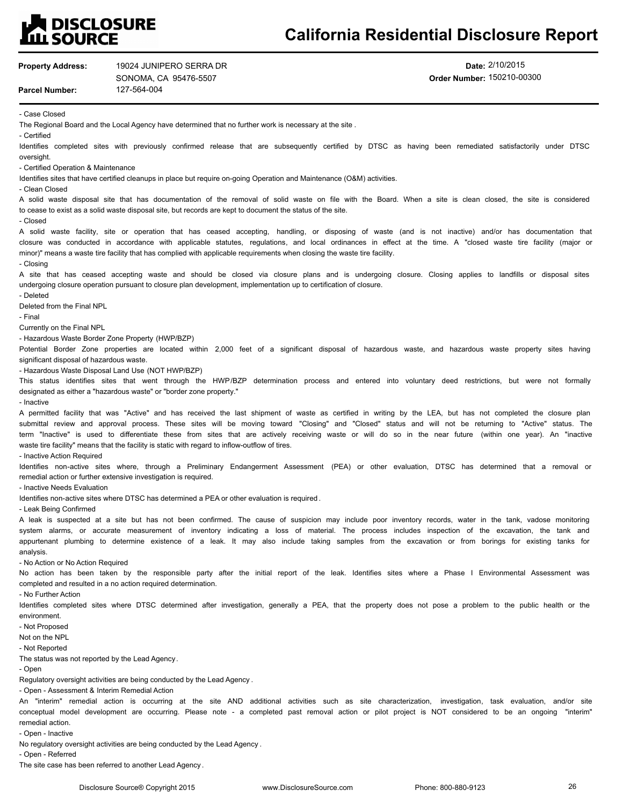# **LA DISCLOSURE<br>LILL SOURCE**

# **California Residential Disclosure Report**

| <b>Property Address:</b>                                                                       | 19024 JUNIPERO SERRA DR                                                                                                  | Date: 2/10/2015                                                                                                                                                                                                                                                                                                          |  |  |
|------------------------------------------------------------------------------------------------|--------------------------------------------------------------------------------------------------------------------------|--------------------------------------------------------------------------------------------------------------------------------------------------------------------------------------------------------------------------------------------------------------------------------------------------------------------------|--|--|
|                                                                                                | SONOMA, CA 95476-5507                                                                                                    | Order Number: 150210-00300                                                                                                                                                                                                                                                                                               |  |  |
| 127-564-004<br><b>Parcel Number:</b>                                                           |                                                                                                                          |                                                                                                                                                                                                                                                                                                                          |  |  |
| - Case Closed                                                                                  |                                                                                                                          |                                                                                                                                                                                                                                                                                                                          |  |  |
|                                                                                                | The Regional Board and the Local Agency have determined that no further work is necessary at the site.                   |                                                                                                                                                                                                                                                                                                                          |  |  |
| - Certified                                                                                    |                                                                                                                          |                                                                                                                                                                                                                                                                                                                          |  |  |
| oversight.                                                                                     |                                                                                                                          | Identifies completed sites with previously confirmed release that are subsequently certified by DTSC as having been remediated satisfactorily under DTSC                                                                                                                                                                 |  |  |
| - Certified Operation & Maintenance                                                            |                                                                                                                          |                                                                                                                                                                                                                                                                                                                          |  |  |
|                                                                                                | Identifies sites that have certified cleanups in place but require on-going Operation and Maintenance (O&M) activities.  |                                                                                                                                                                                                                                                                                                                          |  |  |
| - Clean Closed                                                                                 |                                                                                                                          |                                                                                                                                                                                                                                                                                                                          |  |  |
|                                                                                                |                                                                                                                          | A solid waste disposal site that has documentation of the removal of solid waste on file with the Board. When a site is clean closed, the site is considered                                                                                                                                                             |  |  |
| - Closed                                                                                       | to cease to exist as a solid waste disposal site, but records are kept to document the status of the site.               |                                                                                                                                                                                                                                                                                                                          |  |  |
|                                                                                                |                                                                                                                          | A solid waste facility, site or operation that has ceased accepting, handling, or disposing of waste (and is not inactive) and/or has documentation that                                                                                                                                                                 |  |  |
|                                                                                                | minor)" means a waste tire facility that has complied with applicable requirements when closing the waste tire facility. | closure was conducted in accordance with applicable statutes, regulations, and local ordinances in effect at the time. A "closed waste tire facility (major or                                                                                                                                                           |  |  |
| - Closing                                                                                      |                                                                                                                          |                                                                                                                                                                                                                                                                                                                          |  |  |
|                                                                                                | undergoing closure operation pursuant to closure plan development, implementation up to certification of closure.        | A site that has ceased accepting waste and should be closed via closure plans and is undergoing closure. Closing applies to landfills or disposal sites                                                                                                                                                                  |  |  |
| - Deleted<br>Deleted from the Final NPL<br>- Final                                             |                                                                                                                          |                                                                                                                                                                                                                                                                                                                          |  |  |
| Currently on the Final NPL                                                                     |                                                                                                                          |                                                                                                                                                                                                                                                                                                                          |  |  |
| - Hazardous Waste Border Zone Property (HWP/BZP)                                               |                                                                                                                          |                                                                                                                                                                                                                                                                                                                          |  |  |
|                                                                                                |                                                                                                                          | Potential Border Zone properties are located within 2,000 feet of a significant disposal of hazardous waste, and hazardous waste property sites having                                                                                                                                                                   |  |  |
| significant disposal of hazardous waste.                                                       |                                                                                                                          |                                                                                                                                                                                                                                                                                                                          |  |  |
|                                                                                                | - Hazardous Waste Disposal Land Use (NOT HWP/BZP)                                                                        |                                                                                                                                                                                                                                                                                                                          |  |  |
|                                                                                                | designated as either a "hazardous waste" or "border zone property."                                                      | This status identifies sites that went through the HWP/BZP determination process and entered into voluntary deed restrictions, but were not formally                                                                                                                                                                     |  |  |
| - Inactive                                                                                     |                                                                                                                          |                                                                                                                                                                                                                                                                                                                          |  |  |
|                                                                                                |                                                                                                                          | A permitted facility that was "Active" and has received the last shipment of waste as certified in writing by the LEA, but has not completed the closure plan                                                                                                                                                            |  |  |
|                                                                                                |                                                                                                                          | submittal review and approval process. These sites will be moving toward "Closing" and "Closed" status and will not be returning to "Active" status. The                                                                                                                                                                 |  |  |
|                                                                                                |                                                                                                                          | term "Inactive" is used to differentiate these from sites that are actively receiving waste or will do so in the near future (within one year). An "inactive                                                                                                                                                             |  |  |
|                                                                                                | waste tire facility" means that the facility is static with regard to inflow-outflow of tires.                           |                                                                                                                                                                                                                                                                                                                          |  |  |
| - Inactive Action Required                                                                     |                                                                                                                          |                                                                                                                                                                                                                                                                                                                          |  |  |
|                                                                                                |                                                                                                                          | Identifies non-active sites where, through a Preliminary Endangerment Assessment (PEA) or other evaluation, DTSC has determined that a removal or                                                                                                                                                                        |  |  |
| remedial action or further extensive investigation is required.<br>- Inactive Needs Evaluation |                                                                                                                          |                                                                                                                                                                                                                                                                                                                          |  |  |
|                                                                                                | Identifies non-active sites where DTSC has determined a PEA or other evaluation is required.                             |                                                                                                                                                                                                                                                                                                                          |  |  |
| - Leak Being Confirmed                                                                         |                                                                                                                          |                                                                                                                                                                                                                                                                                                                          |  |  |
|                                                                                                |                                                                                                                          | A leak is suspected at a site but has not been confirmed. The cause of suspicion may include poor inventory records, water in the tank, vadose monitoring                                                                                                                                                                |  |  |
|                                                                                                |                                                                                                                          | system alarms, or accurate measurement of inventory indicating a loss of material. The process includes inspection of the excavation, the tank and                                                                                                                                                                       |  |  |
| analysis.                                                                                      |                                                                                                                          | appurtenant plumbing to determine existence of a leak. It may also include taking samples from the excavation or from borings for existing tanks for                                                                                                                                                                     |  |  |
| - No Action or No Action Required                                                              |                                                                                                                          |                                                                                                                                                                                                                                                                                                                          |  |  |
|                                                                                                |                                                                                                                          | No action has been taken by the responsible party after the initial report of the leak. Identifies sites where a Phase I Environmental Assessment was                                                                                                                                                                    |  |  |
|                                                                                                | completed and resulted in a no action required determination.                                                            |                                                                                                                                                                                                                                                                                                                          |  |  |
| - No Further Action                                                                            |                                                                                                                          |                                                                                                                                                                                                                                                                                                                          |  |  |
|                                                                                                |                                                                                                                          | Identifies completed sites where DTSC determined after investigation, generally a PEA, that the property does not pose a problem to the public health or the                                                                                                                                                             |  |  |
| environment.                                                                                   |                                                                                                                          |                                                                                                                                                                                                                                                                                                                          |  |  |
| - Not Proposed<br>Not on the NPL                                                               |                                                                                                                          |                                                                                                                                                                                                                                                                                                                          |  |  |
| - Not Reported                                                                                 |                                                                                                                          |                                                                                                                                                                                                                                                                                                                          |  |  |
| The status was not reported by the Lead Agency.                                                |                                                                                                                          |                                                                                                                                                                                                                                                                                                                          |  |  |
| - Open                                                                                         |                                                                                                                          |                                                                                                                                                                                                                                                                                                                          |  |  |
|                                                                                                | Regulatory oversight activities are being conducted by the Lead Agency.                                                  |                                                                                                                                                                                                                                                                                                                          |  |  |
| - Open - Assessment & Interim Remedial Action                                                  |                                                                                                                          |                                                                                                                                                                                                                                                                                                                          |  |  |
|                                                                                                |                                                                                                                          | An "interim" remedial action is occurring at the site AND additional activities such as site characterization, investigation, task evaluation, and/or site<br>conceptual model development are occurring. Please note - a completed past removal action or pilot project is NOT considered to be an ongoing<br>"interim" |  |  |
| remedial action.                                                                               |                                                                                                                          |                                                                                                                                                                                                                                                                                                                          |  |  |

- Open - Inactive

No regulatory oversight activities are being conducted by the Lead Agency .

- Open - Referred

The site case has been referred to another Lead Agency .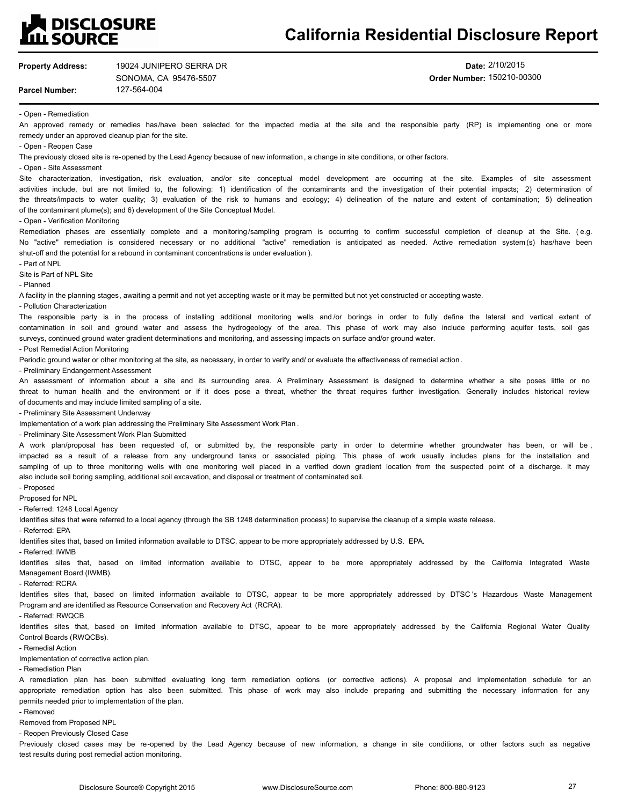## **N**<br>DISCLOSURE **ILL SOURCE**

# **California Residential Disclosure Report**

| <b>Property Address:</b> | 19024 JUNIPERO SERRA DR |
|--------------------------|-------------------------|
|                          | SONOMA, CA 95476-5507   |

127-564-004

**Date:** 2/10/2015 **Order Number:** 150210-00300

- Open - Remediation

**Parcel Number:**

An approved remedy or remedies has/have been selected for the impacted media at the site and the responsible party (RP) is implementing one or more remedy under an approved cleanup plan for the site.

- Open Reopen Case
- The previously closed site is re-opened by the Lead Agency because of new information, a change in site conditions, or other factors.

- Open - Site Assessment

Site characterization, investigation, risk evaluation, and/or site conceptual model development are occurring at the site. Examples of site assessment activities include, but are not limited to, the following: 1) identification of the contaminants and the investigation of their potential impacts; 2) determination of the threats/impacts to water quality; 3) evaluation of the risk to humans and ecology; 4) delineation of the nature and extent of contamination; 5) delineation of the contaminant plume(s); and 6) development of the Site Conceptual Model.

- Open - Verification Monitoring

Remediation phases are essentially complete and a monitoring/sampling program is occurring to confirm successful completion of cleanup at the Site. (e.g. No "active" remediation is considered necessary or no additional "active" remediation is anticipated as needed. Active remediation system (s) has/have been shut-off and the potential for a rebound in contaminant concentrations is under evaluation ).

- Part of NPL

Site is Part of NPL Site

- Planned

A facility in the planning stages, awaiting a permit and not yet accepting waste or it may be permitted but not yet constructed or accepting waste.

- Pollution Characterization

The responsible party is in the process of installing additional monitoring wells and/or borings in order to fully define the lateral and vertical extent of contamination in soil and ground water and assess the hydrogeology of the area. This phase of work may also include performing aquifer tests, soil gas surveys, continued ground water gradient determinations and monitoring, and assessing impacts on surface and/or ground water.

- Post Remedial Action Monitoring

Periodic ground water or other monitoring at the site, as necessary, in order to verify and/ or evaluate the effectiveness of remedial action.

- Preliminary Endangerment Assessment

An assessment of information about a site and its surrounding area. A Preliminary Assessment is designed to determine whether a site poses little or no threat to human health and the environment or if it does pose a threat, whether the threat requires further investigation. Generally includes historical review of documents and may include limited sampling of a site.

- Preliminary Site Assessment Underway

Implementation of a work plan addressing the Preliminary Site Assessment Work Plan .

- Preliminary Site Assessment Work Plan Submitted

A work plan/proposal has been requested of, or submitted by, the responsible party in order to determine whether groundwater has been, or will be, impacted as a result of a release from any underground tanks or associated piping. This phase of work usually includes plans for the installation and sampling of up to three monitoring wells with one monitoring well placed in a verified down gradient location from the suspected point of a discharge. It may also include soil boring sampling, additional soil excavation, and disposal or treatment of contaminated soil.

- Proposed Proposed for NPL

- Referred: 1248 Local Agency

Identifies sites that were referred to a local agency (through the SB 1248 determination process) to supervise the cleanup of a simple waste release.

- Referred: EPA

Identifies sites that, based on limited information available to DTSC, appear to be more appropriately addressed by U.S. EPA.

- Referred: IWMB

Identifies sites that, based on limited information available to DTSC, appear to be more appropriately addressed by the California Integrated Waste Management Board (IWMB).

- Referred: RCRA

Identifies sites that, based on limited information available to DTSC, appear to be more appropriately addressed by DTSC 's Hazardous Waste Management Program and are identified as Resource Conservation and Recovery Act (RCRA).

- Referred: RWQCB

Identifies sites that, based on limited information available to DTSC, appear to be more appropriately addressed by the California Regional Water Quality Control Boards (RWQCBs).

- Remedial Action

Implementation of corrective action plan.

- Remediation Plan

A remediation plan has been submitted evaluating long term remediation options (or corrective actions). A proposal and implementation schedule for an appropriate remediation option has also been submitted. This phase of work may also include preparing and submitting the necessary information for any permits needed prior to implementation of the plan.

- Removed

Removed from Proposed NPL

- Reopen Previously Closed Case

Previously closed cases may be re-opened by the Lead Agency because of new information, a change in site conditions, or other factors such as negative test results during post remedial action monitoring.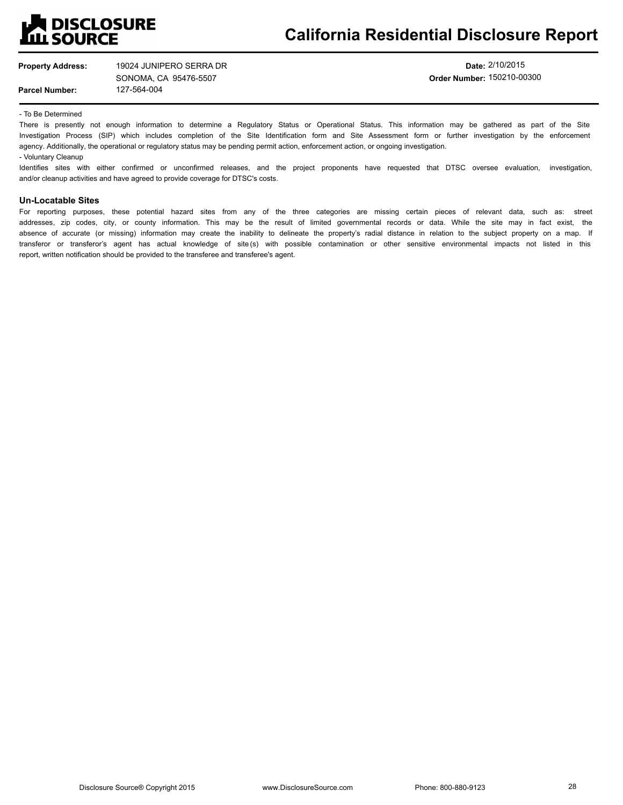

**Property Address:**

**Parcel Number:**

127-564-004 19024 JUNIPERO SERRA DR SONOMA, CA 95476-5507

**Date:** 2/10/2015 **Order Number:** 150210-00300

- To Be Determined

There is presently not enough information to determine a Regulatory Status or Operational Status. This information may be gathered as part of the Site Investigation Process (SIP) which includes completion of the Site Identification form and Site Assessment form or further investigation by the enforcement agency. Additionally, the operational or regulatory status may be pending permit action, enforcement action, or ongoing investigation. - Voluntary Cleanup

Identifies sites with either confirmed or unconfirmed releases, and the project proponents have requested that DTSC oversee evaluation, investigation, and/or cleanup activities and have agreed to provide coverage for DTSC's costs.

## **Un-Locatable Sites**

For reporting purposes, these potential hazard sites from any of the three categories are missing certain pieces of relevant data, such as: street addresses, zip codes, city, or county information. This may be the result of limited governmental records or data. While the site may in fact exist, the absence of accurate (or missing) information may create the inability to delineate the property's radial distance in relation to the subject property on a map. If transferor or transferor's agent has actual knowledge of site (s) with possible contamination or other sensitive environmental impacts not listed in this report, written notification should be provided to the transferee and transferee's agent.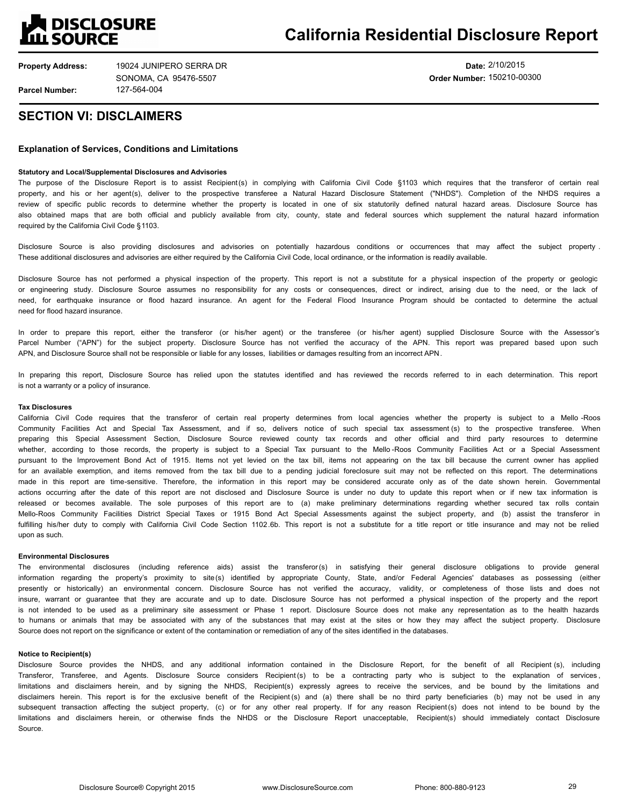

**Date:** 2/10/2015 **Order Number:** 150210-00300

## **SECTION VI: DISCLAIMERS**

## **Explanation of Services, Conditions and Limitations**

### **Statutory and Local/Supplemental Disclosures and Advisories**

The purpose of the Disclosure Report is to assist Recipient(s) in complying with California Civil Code §1103 which requires that the transferor of certain real property, and his or her agent(s), deliver to the prospective transferee a Natural Hazard Disclosure Statement ("NHDS"). Completion of the NHDS requires a review of specific public records to determine whether the property is located in one of six statutorily defined natural hazard areas. Disclosure Source has also obtained maps that are both official and publicly available from city, county, state and federal sources which supplement the natural hazard information required by the California Civil Code §1103.

Disclosure Source is also providing disclosures and advisories on potentially hazardous conditions or occurrences that may affect the subject property . These additional disclosures and advisories are either required by the California Civil Code, local ordinance, or the information is readily available.

Disclosure Source has not performed a physical inspection of the property. This report is not a substitute for a physical inspection of the property or geologic or engineering study. Disclosure Source assumes no responsibility for any costs or consequences, direct or indirect, arising due to the need, or the lack of need, for earthquake insurance or flood hazard insurance. An agent for the Federal Flood Insurance Program should be contacted to determine the actual need for flood hazard insurance.

In order to prepare this report, either the transferor (or his/her agent) or the transferee (or his/her agent) supplied Disclosure Source with the Assessor's Parcel Number ("APN") for the subject property. Disclosure Source has not verified the accuracy of the APN. This report was prepared based upon such APN, and Disclosure Source shall not be responsible or liable for any losses, liabilities or damages resulting from an incorrect APN.

In preparing this report, Disclosure Source has relied upon the statutes identified and has reviewed the records referred to in each determination. This report is not a warranty or a policy of insurance.

#### **Tax Disclosures**

California Civil Code requires that the transferor of certain real property determines from local agencies whether the property is subject to a Mello -Roos Community Facilities Act and Special Tax Assessment, and if so, delivers notice of such special tax assessment (s) to the prospective transferee. When preparing this Special Assessment Section, Disclosure Source reviewed county tax records and other official and third party resources to determine whether, according to those records, the property is subject to a Special Tax pursuant to the Mello-Roos Community Facilities Act or a Special Assessment pursuant to the Improvement Bond Act of 1915. Items not yet levied on the tax bill, items not appearing on the tax bill because the current owner has applied for an available exemption, and items removed from the tax bill due to a pending judicial foreclosure suit may not be reflected on this report. The determinations made in this report are time-sensitive. Therefore, the information in this report may be considered accurate only as of the date shown herein. Governmental actions occurring after the date of this report are not disclosed and Disclosure Source is under no duty to update this report when or if new tax information is released or becomes available. The sole purposes of this report are to (a) make preliminary determinations regarding whether secured tax rolls contain Mello-Roos Community Facilities District Special Taxes or 1915 Bond Act Special Assessments against the subject property, and (b) assist the transferor in fulfilling his/her duty to comply with California Civil Code Section 1102.6b. This report is not a substitute for a title report or title insurance and may not be relied upon as such.

#### **Environmental Disclosures**

The environmental disclosures (including reference aids) assist the transferor(s) in satisfying their general disclosure obligations to provide general information regarding the property's proximity to site (s) identified by appropriate County, State, and/or Federal Agencies' databases as possessing (either presently or historically) an environmental concern. Disclosure Source has not verified the accuracy, validity, or completeness of those lists and does not insure, warrant or guarantee that they are accurate and up to date. Disclosure Source has not performed a physical inspection of the property and the report is not intended to be used as a preliminary site assessment or Phase 1 report. Disclosure Source does not make any representation as to the health hazards to humans or animals that may be associated with any of the substances that may exist at the sites or how they may affect the subject property. Disclosure Source does not report on the significance or extent of the contamination or remediation of any of the sites identified in the databases.

#### **Notice to Recipient(s)**

Disclosure Source provides the NHDS, and any additional information contained in the Disclosure Report, for the benefit of all Recipient (s), including Transferor, Transferee, and Agents. Disclosure Source considers Recipient (s) to be a contracting party who is subject to the explanation of services, limitations and disclaimers herein, and by signing the NHDS, Recipient(s) expressly agrees to receive the services, and be bound by the limitations and disclaimers herein. This report is for the exclusive benefit of the Recipient (s) and (a) there shall be no third party beneficiaries (b) may not be used in any subsequent transaction affecting the subject property, (c) or for any other real property. If for any reason Recipient(s) does not intend to be bound by the limitations and disclaimers herein, or otherwise finds the NHDS or the Disclosure Report unacceptable, Recipient(s) should immediately contact Disclosure Source.